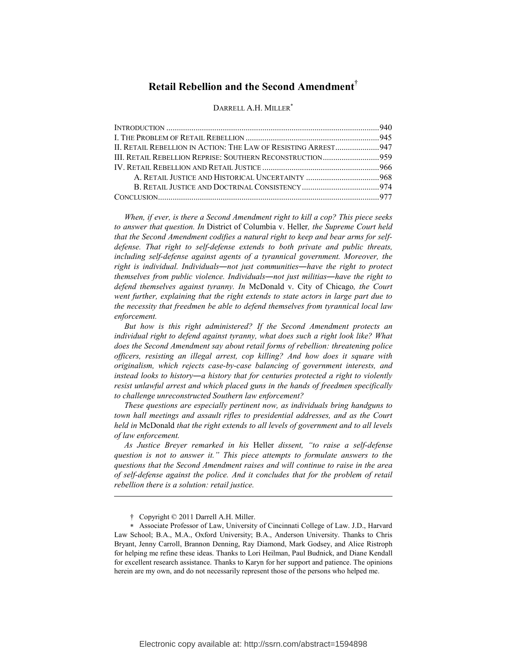# **Retail Rebellion and the Second Amendment**†

### DARRELL A.H. MILLER<sup>\*</sup>

| II. RETAIL REBELLION IN ACTION: THE LAW OF RESISTING ARREST 947 |  |
|-----------------------------------------------------------------|--|
| III. RETAIL REBELLION REPRISE: SOUTHERN RECONSTRUCTION959       |  |
|                                                                 |  |
|                                                                 |  |
|                                                                 |  |
|                                                                 |  |

*When, if ever, is there a Second Amendment right to kill a cop? This piece seeks to answer that question. In* District of Columbia v. Heller*, the Supreme Court held that the Second Amendment codifies a natural right to keep and bear arms for selfdefense. That right to self-defense extends to both private and public threats,*  including self-defense against agents of a tyrannical government. Moreover, the *right is individual. Individuals―not just communities―have the right to protect themselves from public violence. Individuals―not just militias―have the right to defend themselves against tyranny. In* McDonald v. City of Chicago*, the Court went further, explaining that the right extends to state actors in large part due to the necessity that freedmen be able to defend themselves from tyrannical local law enforcement.*

*But how is this right administered? If the Second Amendment protects an individual right to defend against tyranny, what does such a right look like? What does the Second Amendment say about retail forms of rebellion: threatening police officers, resisting an illegal arrest, cop killing? And how does it square with originalism, which rejects case-by-case balancing of government interests, and instead looks to history―a history that for centuries protected a right to violently resist unlawful arrest and which placed guns in the hands of freedmen specifically to challenge unreconstructed Southern law enforcement?* 

*These questions are especially pertinent now, as individuals bring handguns to town hall meetings and assault rifles to presidential addresses, and as the Court held in* McDonald *that the right extends to all levels of government and to all levels of law enforcement.* 

*As Justice Breyer remarked in his* Heller *dissent, "to raise a self-defense question is not to answer it." This piece attempts to formulate answers to the questions that the Second Amendment raises and will continue to raise in the area of self-defense against the police. And it concludes that for the problem of retail rebellion there is a solution: retail justice.* 

<u>.</u>

 <sup>†</sup> Copyright © 2011 Darrell A.H. Miller.

<sup>∗</sup> Associate Professor of Law, University of Cincinnati College of Law. J.D., Harvard Law School; B.A., M.A., Oxford University; B.A., Anderson University. Thanks to Chris Bryant, Jenny Carroll, Brannon Denning, Ray Diamond, Mark Godsey, and Alice Ristroph for helping me refine these ideas. Thanks to Lori Heilman, Paul Budnick, and Diane Kendall for excellent research assistance. Thanks to Karyn for her support and patience. The opinions herein are my own, and do not necessarily represent those of the persons who helped me.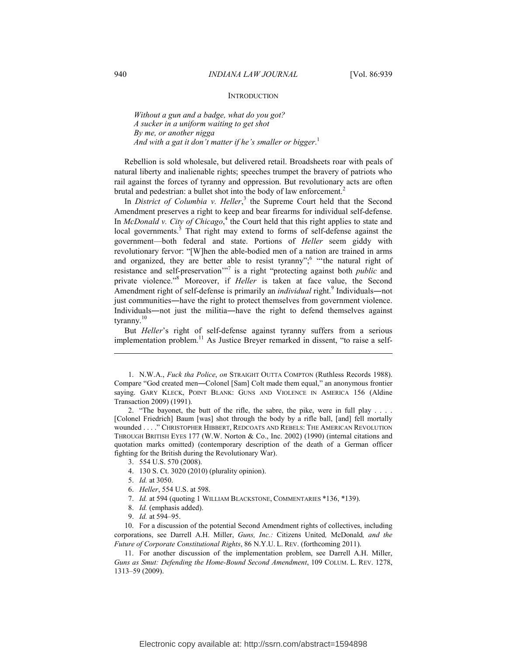# **INTRODUCTION**

*Without a gun and a badge, what do you got? A sucker in a uniform waiting to get shot By me, or another nigga And with a gat it don't matter if he's smaller or bigger*. 1

Rebellion is sold wholesale, but delivered retail. Broadsheets roar with peals of natural liberty and inalienable rights; speeches trumpet the bravery of patriots who rail against the forces of tyranny and oppression. But revolutionary acts are often brutal and pedestrian: a bullet shot into the body of law enforcement.<sup>2</sup>

In *District of Columbia v. Heller*,<sup>3</sup> the Supreme Court held that the Second Amendment preserves a right to keep and bear firearms for individual self-defense. In *McDonald v. City of Chicago*,<sup>4</sup> the Court held that this right applies to state and local governments.<sup>5</sup> That right may extend to forms of self-defense against the government—both federal and state. Portions of *Heller* seem giddy with revolutionary fervor: "[W]hen the able-bodied men of a nation are trained in arms and organized, they are better able to resist tyranny";<sup>6</sup> "the natural right of resistance and self-preservation<sup>"7</sup> is a right "protecting against both *public* and private violence."<sup>8</sup> Moreover, if *Heller* is taken at face value, the Second Amendment right of self-defense is primarily an *individual* right.<sup>9</sup> Individuals—not just communities―have the right to protect themselves from government violence. Individuals―not just the militia―have the right to defend themselves against tyranny.<sup>10</sup>

But *Heller*'s right of self-defense against tyranny suffers from a serious implementation problem.<sup>11</sup> As Justice Breyer remarked in dissent, "to raise a self-

- 3. 554 U.S. 570 (2008).
- 4. 130 S. Ct. 3020 (2010) (plurality opinion).
- 5. *Id.* at 3050.
- 6. *Heller*, 554 U.S. at 598.
- 7. *Id.* at 594 (quoting 1 WILLIAM BLACKSTONE, COMMENTARIES \*136, \*139).
- 8. *Id.* (emphasis added).
- 9. *Id.* at 594–95.

 10. For a discussion of the potential Second Amendment rights of collectives, including corporations, see Darrell A.H. Miller, *Guns, Inc.:* Citizens United*,* McDonald*, and the Future of Corporate Constitutional Rights*, 86 N.Y.U. L. REV. (forthcoming 2011).

 11. For another discussion of the implementation problem, see Darrell A.H. Miller, *Guns as Smut: Defending the Home-Bound Second Amendment*, 109 COLUM. L. REV. 1278, 1313–59 (2009).

<u>.</u>

 <sup>1.</sup> N.W.A., *Fuck tha Police*, *on* STRAIGHT OUTTA COMPTON (Ruthless Records 1988). Compare "God created men―Colonel [Sam] Colt made them equal," an anonymous frontier saying. GARY KLECK, POINT BLANK: GUNS AND VIOLENCE IN AMERICA 156 (Aldine Transaction 2009) (1991).

 <sup>2. &</sup>quot;The bayonet, the butt of the rifle, the sabre, the pike, were in full play . . . . [Colonel Friedrich] Baum [was] shot through the body by a rifle ball, [and] fell mortally wounded . . . ." CHRISTOPHER HIBBERT, REDCOATS AND REBELS: THE AMERICAN REVOLUTION THROUGH BRITISH EYES 177 (W.W. Norton & Co., Inc. 2002) (1990) (internal citations and quotation marks omitted) (contemporary description of the death of a German officer fighting for the British during the Revolutionary War).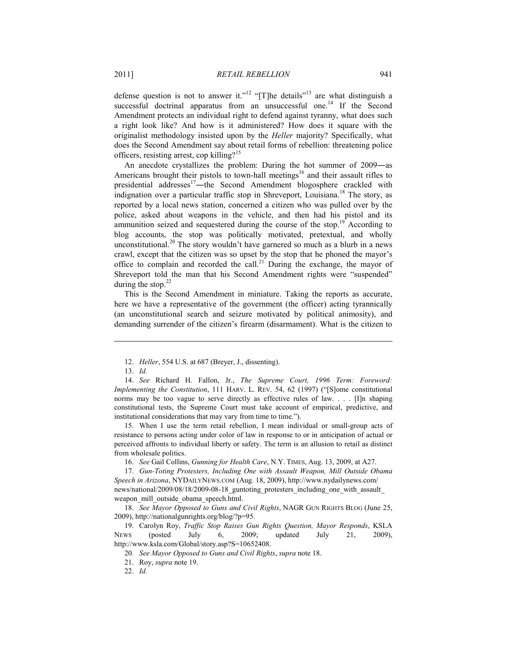defense question is not to answer it."<sup>12</sup> "[T]he details"<sup>13</sup> are what distinguish a successful doctrinal apparatus from an unsuccessful one.<sup>14</sup> If the Second Amendment protects an individual right to defend against tyranny, what does such a right look like? And how is it administered? How does it square with the originalist methodology insisted upon by the *Heller* majority? Specifically, what does the Second Amendment say about retail forms of rebellion: threatening police officers, resisting arrest, cop killing?<sup>15</sup>

An anecdote crystallizes the problem: During the hot summer of 2009―as Americans brought their pistols to town-hall meetings<sup>16</sup> and their assault rifles to presidential addresses $17$ —the Second Amendment blogosphere crackled with indignation over a particular traffic stop in Shreveport, Louisiana.<sup>18</sup> The story, as reported by a local news station, concerned a citizen who was pulled over by the police, asked about weapons in the vehicle, and then had his pistol and its ammunition seized and sequestered during the course of the stop.<sup>19</sup> According to blog accounts, the stop was politically motivated, pretextual, and wholly unconstitutional.<sup>20</sup> The story wouldn't have garnered so much as a blurb in a news crawl, except that the citizen was so upset by the stop that he phoned the mayor's office to complain and recorded the call.<sup>21</sup> During the exchange, the mayor of Shreveport told the man that his Second Amendment rights were "suspended" during the stop. $22$ 

This is the Second Amendment in miniature. Taking the reports as accurate, here we have a representative of the government (the officer) acting tyrannically (an unconstitutional search and seizure motivated by political animosity), and demanding surrender of the citizen's firearm (disarmament). What is the citizen to

1

 15. When I use the term retail rebellion, I mean individual or small-group acts of resistance to persons acting under color of law in response to or in anticipation of actual or perceived affronts to individual liberty or safety. The term is an allusion to retail as distinct from wholesale politics.

16. *See* Gail Collins, *Gunning for Health Care*, N.Y. TIMES, Aug. 13, 2009, at A27.

 17. *Gun-Toting Protesters, Including One with Assault Weapon, Mill Outside Obama Speech in Arizona*, NYDAILYNEWS.COM (Aug. 18, 2009), http://www.nydailynews.com/ news/national/2009/08/18/2009-08-18 guntoting protesters including one with assault weapon mill outside obama speech.html.

 18. *See Mayor Opposed to Guns and Civil Rights*, NAGR GUN RIGHTS BLOG (June 25, 2009), http://nationalgunrights.org/blog/?p=95.

 19. Carolyn Roy, *Traffic Stop Raises Gun Rights Question, Mayor Responds*, KSLA NEWS (posted July 6, 2009; updated July 21, 2009), http://www.ksla.com/Global/story.asp?S=10652408.

20*. See Mayor Opposed to Guns and Civil Rights*, *supra* note 18.

21. Roy, *supra* note 19.

22. *Id.*

 <sup>12.</sup> *Heller*, 554 U.S. at 687 (Breyer, J., dissenting).

 <sup>13.</sup> *Id.* 

 <sup>14.</sup> *See* Richard H. Fallon, Jr., *The Supreme Court, 1996 Term: Foreword: Implementing the Constitution*, 111 HARV. L. REV. 54, 62 (1997) ("[S]ome constitutional norms may be too vague to serve directly as effective rules of law. . . . [I]n shaping constitutional tests, the Supreme Court must take account of empirical, predictive, and institutional considerations that may vary from time to time.").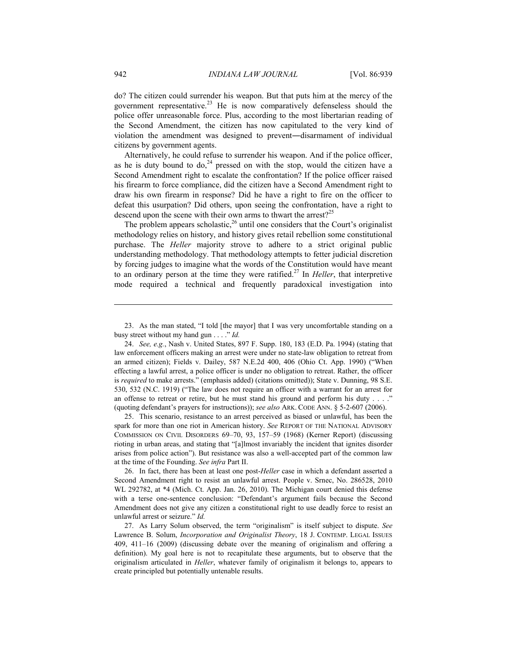do? The citizen could surrender his weapon. But that puts him at the mercy of the government representative.<sup>23</sup> He is now comparatively defenseless should the police offer unreasonable force. Plus, according to the most libertarian reading of the Second Amendment, the citizen has now capitulated to the very kind of violation the amendment was designed to prevent―disarmament of individual citizens by government agents.

Alternatively, he could refuse to surrender his weapon. And if the police officer, as he is duty bound to  $do<sub>1</sub><sup>24</sup>$  pressed on with the stop, would the citizen have a Second Amendment right to escalate the confrontation? If the police officer raised his firearm to force compliance, did the citizen have a Second Amendment right to draw his own firearm in response? Did he have a right to fire on the officer to defeat this usurpation? Did others, upon seeing the confrontation, have a right to descend upon the scene with their own arms to thwart the arrest?<sup>25</sup>

The problem appears scholastic,<sup>26</sup> until one considers that the Court's originalist methodology relies on history, and history gives retail rebellion some constitutional purchase. The *Heller* majority strove to adhere to a strict original public understanding methodology. That methodology attempts to fetter judicial discretion by forcing judges to imagine what the words of the Constitution would have meant to an ordinary person at the time they were ratified.27 In *Heller*, that interpretive mode required a technical and frequently paradoxical investigation into

 25. This scenario, resistance to an arrest perceived as biased or unlawful, has been the spark for more than one riot in American history. *See* REPORT OF THE NATIONAL ADVISORY COMMISSION ON CIVIL DISORDERS 69–70, 93, 157–59 (1968) (Kerner Report) (discussing rioting in urban areas, and stating that "[a]lmost invariably the incident that ignites disorder arises from police action"). But resistance was also a well-accepted part of the common law at the time of the Founding. *See infra* Part II.

 26. In fact, there has been at least one post-*Heller* case in which a defendant asserted a Second Amendment right to resist an unlawful arrest. People v. Srnec, No. 286528, 2010 WL 292782, at \*4 (Mich. Ct. App. Jan. 26, 2010). The Michigan court denied this defense with a terse one-sentence conclusion: "Defendant's argument fails because the Second Amendment does not give any citizen a constitutional right to use deadly force to resist an unlawful arrest or seizure." *Id.*

<u>.</u>

 <sup>23.</sup> As the man stated, "I told [the mayor] that I was very uncomfortable standing on a busy street without my hand gun . . . ." *Id.*

 <sup>24.</sup> *See, e.g.*, Nash v. United States, 897 F. Supp. 180, 183 (E.D. Pa. 1994) (stating that law enforcement officers making an arrest were under no state-law obligation to retreat from an armed citizen); Fields v. Dailey, 587 N.E.2d 400, 406 (Ohio Ct. App. 1990) ("When effecting a lawful arrest, a police officer is under no obligation to retreat. Rather, the officer is *required* to make arrests." (emphasis added) (citations omitted)); State v. Dunning, 98 S.E. 530, 532 (N.C. 1919) ("The law does not require an officer with a warrant for an arrest for an offense to retreat or retire, but he must stand his ground and perform his duty  $\dots$ ." (quoting defendant's prayers for instructions)); *see also* ARK. CODE ANN. § 5-2-607 (2006).

 <sup>27.</sup> As Larry Solum observed, the term "originalism" is itself subject to dispute. *See* Lawrence B. Solum, *Incorporation and Originalist Theory*, 18 J. CONTEMP. LEGAL ISSUES 409, 411–16 (2009) (discussing debate over the meaning of originalism and offering a definition). My goal here is not to recapitulate these arguments, but to observe that the originalism articulated in *Heller*, whatever family of originalism it belongs to, appears to create principled but potentially untenable results.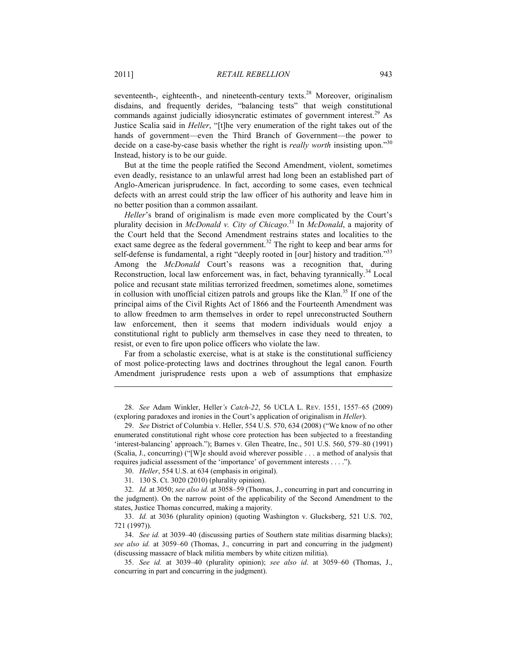seventeenth-, eighteenth-, and nineteenth-century texts.<sup>28</sup> Moreover, originalism disdains, and frequently derides, "balancing tests" that weigh constitutional commands against judicially idiosyncratic estimates of government interest.<sup>29</sup> As Justice Scalia said in *Heller*, "[t]he very enumeration of the right takes out of the hands of government—even the Third Branch of Government—the power to decide on a case-by-case basis whether the right is *really worth* insisting upon."<sup>30</sup> Instead, history is to be our guide.

But at the time the people ratified the Second Amendment, violent, sometimes even deadly, resistance to an unlawful arrest had long been an established part of Anglo-American jurisprudence. In fact, according to some cases, even technical defects with an arrest could strip the law officer of his authority and leave him in no better position than a common assailant.

*Heller*'s brand of originalism is made even more complicated by the Court's plurality decision in *McDonald v. City of Chicago*. 31 In *McDonald*, a majority of the Court held that the Second Amendment restrains states and localities to the exact same degree as the federal government.<sup>32</sup> The right to keep and bear arms for self-defense is fundamental, a right "deeply rooted in [our] history and tradition."<sup>33</sup> Among the *McDonald* Court's reasons was a recognition that, during Reconstruction, local law enforcement was, in fact, behaving tyrannically.<sup>34</sup> Local police and recusant state militias terrorized freedmen, sometimes alone, sometimes in collusion with unofficial citizen patrols and groups like the Klan.<sup>35</sup> If one of the principal aims of the Civil Rights Act of 1866 and the Fourteenth Amendment was to allow freedmen to arm themselves in order to repel unreconstructed Southern law enforcement, then it seems that modern individuals would enjoy a constitutional right to publicly arm themselves in case they need to threaten, to resist, or even to fire upon police officers who violate the law.

Far from a scholastic exercise, what is at stake is the constitutional sufficiency of most police-protecting laws and doctrines throughout the legal canon. Fourth Amendment jurisprudence rests upon a web of assumptions that emphasize

 28. *See* Adam Winkler, Heller*'s Catch-22*, 56 UCLA L. REV. 1551, 1557–65 (2009) (exploring paradoxes and ironies in the Court's application of originalism in *Heller*).

 29. *See* District of Columbia v. Heller, 554 U.S. 570, 634 (2008) ("We know of no other enumerated constitutional right whose core protection has been subjected to a freestanding 'interest-balancing' approach."); Barnes v. Glen Theatre, Inc., 501 U.S. 560, 579–80 (1991) (Scalia, J., concurring) ("[W]e should avoid wherever possible . . . a method of analysis that requires judicial assessment of the 'importance' of government interests . . . .").

30. *Heller*, 554 U.S. at 634 (emphasis in original).

31. 130 S. Ct. 3020 (2010) (plurality opinion).

 32. *Id.* at 3050; *see also id.* at 3058–59 (Thomas, J., concurring in part and concurring in the judgment). On the narrow point of the applicability of the Second Amendment to the states, Justice Thomas concurred, making a majority.

 33. *Id.* at 3036 (plurality opinion) (quoting Washington v. Glucksberg, 521 U.S. 702, 721 (1997)).

 34. *See id.* at 3039–40 (discussing parties of Southern state militias disarming blacks); *see also id.* at 3059–60 (Thomas, J., concurring in part and concurring in the judgment) (discussing massacre of black militia members by white citizen militia).

 35. *See id.* at 3039–40 (plurality opinion); *see also id*. at 3059–60 (Thomas, J., concurring in part and concurring in the judgment).

<u>.</u>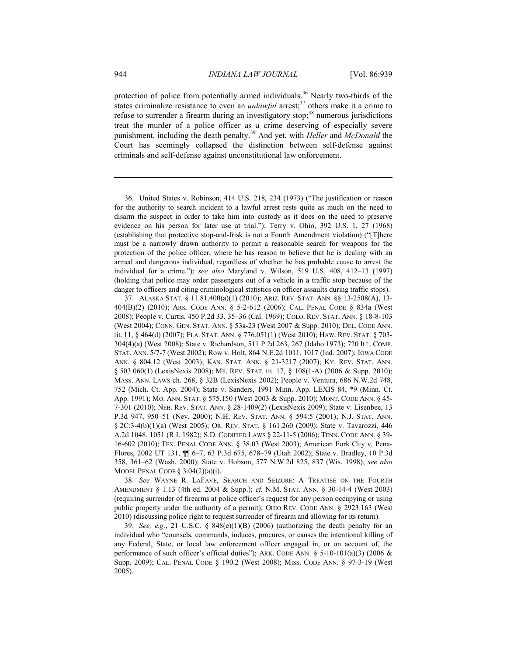protection of police from potentially armed individuals.<sup>36</sup> Nearly two-thirds of the states criminalize resistance to even an *unlawful* arrest;<sup>37</sup> others make it a crime to refuse to surrender a firearm during an investigatory stop; $38$  numerous jurisdictions treat the murder of a police officer as a crime deserving of especially severe punishment, including the death penalty.39 And yet, with *Heller* and *McDonald* the Court has seemingly collapsed the distinction between self-defense against criminals and self-defense against unconstitutional law enforcement.

 36. United States v. Robinson, 414 U.S. 218, 234 (1973) ("The justification or reason for the authority to search incident to a lawful arrest rests quite as much on the need to disarm the suspect in order to take him into custody as it does on the need to preserve evidence on his person for later use at trial."); Terry v. Ohio, 392 U.S. 1, 27 (1968) (establishing that protective stop-and-frisk is not a Fourth Amendment violation) ("[T]here must be a narrowly drawn authority to permit a reasonable search for weapons for the protection of the police officer, where he has reason to believe that he is dealing with an armed and dangerous individual, regardless of whether he has probable cause to arrest the individual for a crime."); *see also* Maryland v. Wilson, 519 U.S. 408, 412–13 (1997) (holding that police may order passengers out of a vehicle in a traffic stop because of the danger to officers and citing criminological statistics on officer assaults during traffic stops).

 37. ALASKA STAT. § 11.81.400(a)(1) (2010); ARIZ. REV. STAT. ANN. §§ 13-2508(A), 13- 404(B)(2) (2010); ARK. CODE ANN. § 5-2-612 (2006); CAL. PENAL CODE § 834a (West 2008); People v. Curtis, 450 P.2d 33, 35–36 (Cal. 1969); COLO. REV. STAT. ANN. § 18-8-103 (West 2004); CONN. GEN. STAT. ANN. § 53a-23 (West 2007 & Supp. 2010); DEL. CODE ANN. tit. 11, § 464(d) (2007); FLA. STAT. ANN. § 776.051(1) (West 2010); HAW. REV. STAT. § 703- 304(4)(a) (West 2008); State v. Richardson, 511 P.2d 263, 267 (Idaho 1973); 720 ILL. COMP. STAT. ANN. 5/7-7 (West 2002); Row v. Holt, 864 N.E.2d 1011, 1017 (Ind. 2007); IOWA CODE ANN. § 804.12 (West 2003); KAN. STAT. ANN. § 21-3217 (2007); KY. REV. STAT. ANN. § 503.060(1) (LexisNexis 2008); ME. REV. STAT. tit. 17, § 108(1-A) (2006 & Supp. 2010); MASS. ANN. LAWS ch. 268, § 32B (LexisNexis 2002); People v. Ventura, 686 N.W.2d 748, 752 (Mich. Ct. App. 2004); State v. Sanders, 1991 Minn. App. LEXIS 84, \*9 (Minn. Ct. App. 1991); MO. ANN. STAT. § 575.150 (West 2003 & Supp. 2010); MONT. CODE ANN. § 45- 7-301 (2010); NEB. REV. STAT. ANN. § 28-1409(2) (LexisNexis 2009); State v. Lisenbee, 13 P.3d 947, 950–51 (Nev. 2000); N.H. REV. STAT. ANN. § 594:5 (2001); N.J. STAT. ANN. § 2C:3-4(b)(1)(a) (West 2005); OR. REV. STAT. § 161.260 (2009); State v. Tavarozzi, 446 A.2d 1048, 1051 (R.I. 1982); S.D. CODIFIED LAWS § 22-11-5 (2006); TENN. CODE ANN. § 39- 16-602 (2010); TEX. PENAL CODE ANN. § 38.03 (West 2003); American Fork City v. Pena-Flores, 2002 UT 131, ¶¶ 6–7, 63 P.3d 675, 678–79 (Utah 2002); State v. Bradley, 10 P.3d 358, 361–62 (Wash. 2000); State v. Hobson, 577 N.W.2d 825, 837 (Wis. 1998); *see also*  MODEL PENAL CODE  $\S$  3.04(2)(a)(i).

 38. *See* WAYNE R. LAFAVE, SEARCH AND SEIZURE: A TREATISE ON THE FOURTH AMENDMENT § 1.13 (4th ed. 2004 & Supp.); *cf.* N.M. STAT. ANN. § 30-14-4 (West 2003) (requiring surrender of firearms at police officer's request for any person occupying or using public property under the authority of a permit); OHIO REV. CODE ANN. § 2923.163 (West 2010) (discussing police right to request surrender of firearm and allowing for its return).

39. *See, e.g.*, 21 U.S.C.  $\S$  848(e)(1)(B) (2006) (authorizing the death penalty for an individual who "counsels, commands, induces, procures, or causes the intentional killing of any Federal, State, or local law enforcement officer engaged in, or on account of, the performance of such officer's official duties"); ARK. CODE ANN.  $\S$  5-10-101(a)(3) (2006 & Supp. 2009); CAL. PENAL CODE § 190.2 (West 2008); MISS. CODE ANN. § 97-3-19 (West 2005).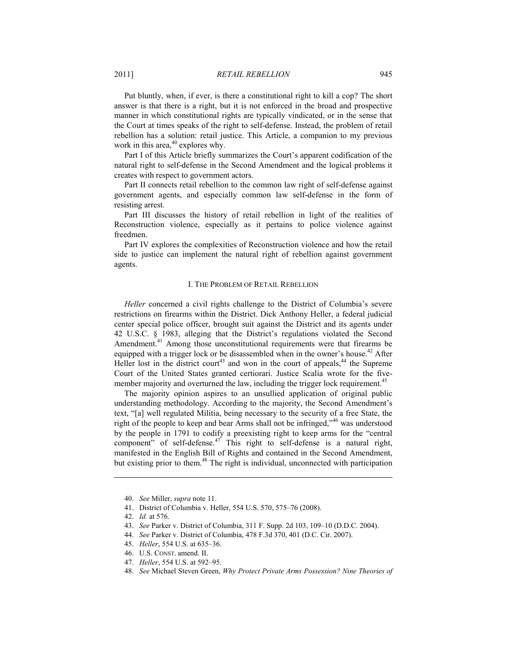Put bluntly, when, if ever, is there a constitutional right to kill a cop? The short answer is that there is a right, but it is not enforced in the broad and prospective manner in which constitutional rights are typically vindicated, or in the sense that the Court at times speaks of the right to self-defense. Instead, the problem of retail rebellion has a solution: retail justice. This Article, a companion to my previous work in this area, $40$  explores why.

Part I of this Article briefly summarizes the Court's apparent codification of the natural right to self-defense in the Second Amendment and the logical problems it creates with respect to government actors.

Part II connects retail rebellion to the common law right of self-defense against government agents, and especially common law self-defense in the form of resisting arrest.

Part III discusses the history of retail rebellion in light of the realities of Reconstruction violence, especially as it pertains to police violence against freedmen.

Part IV explores the complexities of Reconstruction violence and how the retail side to justice can implement the natural right of rebellion against government agents.

## I. THE PROBLEM OF RETAIL REBELLION

*Heller* concerned a civil rights challenge to the District of Columbia's severe restrictions on firearms within the District. Dick Anthony Heller, a federal judicial center special police officer, brought suit against the District and its agents under 42 U.S.C. § 1983, alleging that the District's regulations violated the Second Amendment.<sup>41</sup> Among those unconstitutional requirements were that firearms be equipped with a trigger lock or be disassembled when in the owner's house.<sup>42</sup> After Heller lost in the district court<sup>43</sup> and won in the court of appeals,<sup>44</sup> the Supreme Court of the United States granted certiorari. Justice Scalia wrote for the fivemember majority and overturned the law, including the trigger lock requirement.<sup>45</sup>

The majority opinion aspires to an unsullied application of original public understanding methodology. According to the majority, the Second Amendment's text, "[a] well regulated Militia, being necessary to the security of a free State, the right of the people to keep and bear Arms shall not be infringed,"46 was understood by the people in 1791 to codify a preexisting right to keep arms for the "central component" of self-defense.<sup>47</sup> This right to self-defense is a natural right, manifested in the English Bill of Rights and contained in the Second Amendment, but existing prior to them.<sup>48</sup> The right is individual, unconnected with participation

41. District of Columbia v. Heller, 554 U.S. 570, 575–76 (2008).

 <sup>40.</sup> *See* Miller, *supra* note 11.

 <sup>42.</sup> *Id.* at 576.

 <sup>43.</sup> *See* Parker v. District of Columbia, 311 F. Supp. 2d 103, 109–10 (D.D.C. 2004).

 <sup>44.</sup> *See* Parker v. District of Columbia, 478 F.3d 370, 401 (D.C. Cir. 2007).

 <sup>45.</sup> *Heller*, 554 U.S. at 635–36.

 <sup>46.</sup> U.S. CONST. amend. II.

 <sup>47.</sup> *Heller*, 554 U.S. at 592–95.

 <sup>48.</sup> *See* Michael Steven Green, *Why Protect Private Arms Possession? Nine Theories of*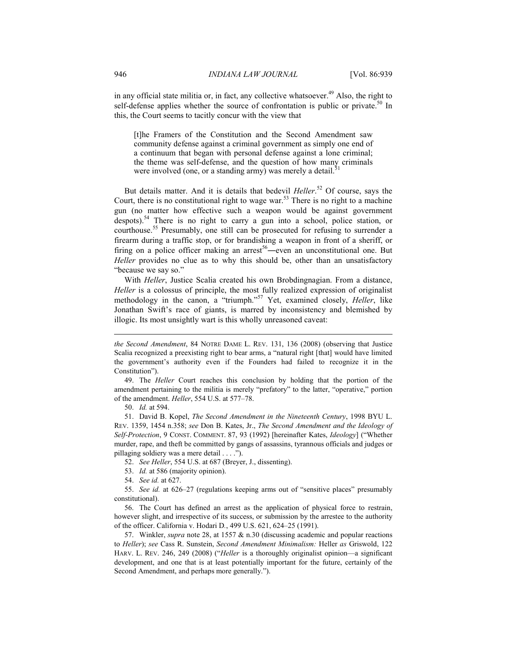in any official state militia or, in fact, any collective whatsoever. $49$  Also, the right to self-defense applies whether the source of confrontation is public or private.<sup>50</sup> In this, the Court seems to tacitly concur with the view that

[t]he Framers of the Constitution and the Second Amendment saw community defense against a criminal government as simply one end of a continuum that began with personal defense against a lone criminal; the theme was self-defense, and the question of how many criminals were involved (one, or a standing army) was merely a detail.<sup>5</sup>

But details matter. And it is details that bedevil *Heller*. 52 Of course, says the Court, there is no constitutional right to wage war.<sup>53</sup> There is no right to a machine gun (no matter how effective such a weapon would be against government despots).54 There is no right to carry a gun into a school, police station, or courthouse.55 Presumably, one still can be prosecuted for refusing to surrender a firearm during a traffic stop, or for brandishing a weapon in front of a sheriff, or firing on a police officer making an arrest<sup>56</sup>—even an unconstitutional one. But *Heller* provides no clue as to why this should be, other than an unsatisfactory "because we say so."

With *Heller*, Justice Scalia created his own Brobdingnagian. From a distance, *Heller* is a colossus of principle, the most fully realized expression of originalist methodology in the canon, a "triumph."57 Yet, examined closely, *Heller*, like Jonathan Swift's race of giants, is marred by inconsistency and blemished by illogic. Its most unsightly wart is this wholly unreasoned caveat:

 49. The *Heller* Court reaches this conclusion by holding that the portion of the amendment pertaining to the militia is merely "prefatory" to the latter, "operative," portion of the amendment. *Heller*, 554 U.S. at 577–78.

50. *Id.* at 594.

1

 51. David B. Kopel, *The Second Amendment in the Nineteenth Century*, 1998 BYU L. REV. 1359, 1454 n.358; *see* Don B. Kates, Jr., *The Second Amendment and the Ideology of Self-Protection*, 9 CONST. COMMENT. 87, 93 (1992) [hereinafter Kates, *Ideology*] ("Whether murder, rape, and theft be committed by gangs of assassins, tyrannous officials and judges or pillaging soldiery was a mere detail . . . .").

52. *See Heller*, 554 U.S. at 687 (Breyer, J., dissenting).

- 53. *Id.* at 586 (majority opinion).
- 54. *See id.* at 627.

 57. Winkler, *supra* note 28, at 1557 & n.30 (discussing academic and popular reactions to *Heller*); *see* Cass R. Sunstein, *Second Amendment Minimalism:* Heller *as* Griswold, 122 HARV. L. REV. 246, 249 (2008) ("*Heller* is a thoroughly originalist opinion—a significant development, and one that is at least potentially important for the future, certainly of the Second Amendment, and perhaps more generally.").

*the Second Amendment*, 84 NOTRE DAME L. REV. 131, 136 (2008) (observing that Justice Scalia recognized a preexisting right to bear arms, a "natural right [that] would have limited the government's authority even if the Founders had failed to recognize it in the Constitution").

 <sup>55.</sup> *See id.* at 626–27 (regulations keeping arms out of "sensitive places" presumably constitutional).

 <sup>56.</sup> The Court has defined an arrest as the application of physical force to restrain, however slight, and irrespective of its success, or submission by the arrestee to the authority of the officer. California v. Hodari D*.*, 499 U.S. 621, 624–25 (1991).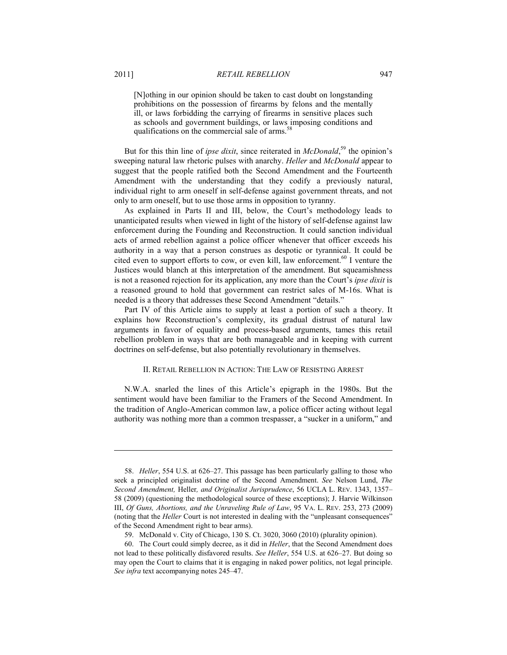[N]othing in our opinion should be taken to cast doubt on longstanding prohibitions on the possession of firearms by felons and the mentally ill, or laws forbidding the carrying of firearms in sensitive places such as schools and government buildings, or laws imposing conditions and qualifications on the commercial sale of arms.<sup>5</sup>

But for this thin line of *ipse dixit*, since reiterated in *McDonald*, 59 the opinion's sweeping natural law rhetoric pulses with anarchy. *Heller* and *McDonald* appear to suggest that the people ratified both the Second Amendment and the Fourteenth Amendment with the understanding that they codify a previously natural, individual right to arm oneself in self-defense against government threats, and not only to arm oneself, but to use those arms in opposition to tyranny.

As explained in Parts II and III, below, the Court's methodology leads to unanticipated results when viewed in light of the history of self-defense against law enforcement during the Founding and Reconstruction. It could sanction individual acts of armed rebellion against a police officer whenever that officer exceeds his authority in a way that a person construes as despotic or tyrannical. It could be cited even to support efforts to cow, or even kill, law enforcement.<sup>60</sup> I venture the Justices would blanch at this interpretation of the amendment. But squeamishness is not a reasoned rejection for its application, any more than the Court's *ipse dixit* is a reasoned ground to hold that government can restrict sales of M-16s. What is needed is a theory that addresses these Second Amendment "details."

Part IV of this Article aims to supply at least a portion of such a theory. It explains how Reconstruction's complexity, its gradual distrust of natural law arguments in favor of equality and process-based arguments, tames this retail rebellion problem in ways that are both manageable and in keeping with current doctrines on self-defense, but also potentially revolutionary in themselves.

# II. RETAIL REBELLION IN ACTION: THE LAW OF RESISTING ARREST

N.W.A. snarled the lines of this Article's epigraph in the 1980s. But the sentiment would have been familiar to the Framers of the Second Amendment. In the tradition of Anglo-American common law, a police officer acting without legal authority was nothing more than a common trespasser, a "sucker in a uniform," and

 <sup>58.</sup> *Heller*, 554 U.S. at 626–27. This passage has been particularly galling to those who seek a principled originalist doctrine of the Second Amendment. *See* Nelson Lund, *The Second Amendment,* Heller*, and Originalist Jurisprudence*, 56 UCLA L. REV. 1343, 1357– 58 (2009) (questioning the methodological source of these exceptions); J. Harvie Wilkinson III, *Of Guns, Abortions, and the Unraveling Rule of Law*, 95 VA. L. REV. 253, 273 (2009) (noting that the *Heller* Court is not interested in dealing with the "unpleasant consequences" of the Second Amendment right to bear arms).

 <sup>59.</sup> McDonald v. City of Chicago, 130 S. Ct. 3020, 3060 (2010) (plurality opinion).

 <sup>60.</sup> The Court could simply decree, as it did in *Heller*, that the Second Amendment does not lead to these politically disfavored results. *See Heller*, 554 U.S. at 626–27. But doing so may open the Court to claims that it is engaging in naked power politics, not legal principle. *See infra* text accompanying notes 245–47.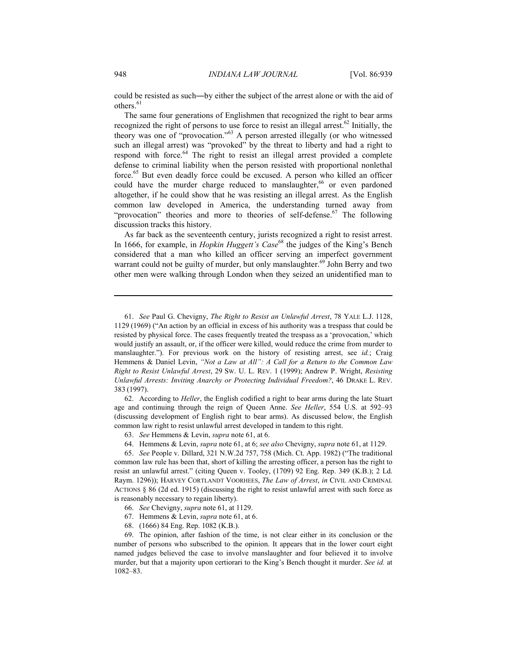could be resisted as such―by either the subject of the arrest alone or with the aid of others.<sup>61</sup>

The same four generations of Englishmen that recognized the right to bear arms recognized the right of persons to use force to resist an illegal arrest.<sup>62</sup> Initially, the theory was one of "provocation."63 A person arrested illegally (or who witnessed such an illegal arrest) was "provoked" by the threat to liberty and had a right to respond with force.<sup>64</sup> The right to resist an illegal arrest provided a complete defense to criminal liability when the person resisted with proportional nonlethal force.65 But even deadly force could be excused. A person who killed an officer could have the murder charge reduced to manslaughter, $66$  or even pardoned altogether, if he could show that he was resisting an illegal arrest. As the English common law developed in America, the understanding turned away from "provocation" theories and more to theories of self-defense.<sup>67</sup> The following discussion tracks this history.

As far back as the seventeenth century, jurists recognized a right to resist arrest. In 1666, for example, in *Hopkin Huggett's Case*<sup>68</sup> the judges of the King's Bench considered that a man who killed an officer serving an imperfect government warrant could not be guilty of murder, but only manslaughter.<sup>69</sup> John Berry and two other men were walking through London when they seized an unidentified man to

 62. According to *Heller*, the English codified a right to bear arms during the late Stuart age and continuing through the reign of Queen Anne. *See Heller*, 554 U.S. at 592–93 (discussing development of English right to bear arms). As discussed below, the English common law right to resist unlawful arrest developed in tandem to this right.

64. Hemmens & Levin, *supra* note 61, at 6; *see also* Chevigny, *supra* note 61, at 1129.

 69. The opinion, after fashion of the time, is not clear either in its conclusion or the number of persons who subscribed to the opinion. It appears that in the lower court eight named judges believed the case to involve manslaughter and four believed it to involve murder, but that a majority upon certiorari to the King's Bench thought it murder. *See id.* at 1082–83.

 <sup>61.</sup> *See* Paul G. Chevigny, *The Right to Resist an Unlawful Arrest*, 78 YALE L.J. 1128, 1129 (1969) ("An action by an official in excess of his authority was a trespass that could be resisted by physical force. The cases frequently treated the trespass as a 'provocation,' which would justify an assault, or, if the officer were killed, would reduce the crime from murder to manslaughter."). For previous work on the history of resisting arrest, see *id.*; Craig Hemmens & Daniel Levin, *"Not a Law at All": A Call for a Return to the Common Law Right to Resist Unlawful Arrest*, 29 SW. U. L. REV. 1 (1999); Andrew P. Wright, *Resisting Unlawful Arrests: Inviting Anarchy or Protecting Individual Freedom?*, 46 DRAKE L. REV. 383 (1997).

 <sup>63.</sup> *See* Hemmens & Levin, *supra* note 61, at 6.

 <sup>65.</sup> *See* People v. Dillard, 321 N.W.2d 757, 758 (Mich. Ct. App. 1982) ("The traditional common law rule has been that, short of killing the arresting officer, a person has the right to resist an unlawful arrest." (citing Queen v. Tooley, (1709) 92 Eng. Rep. 349 (K.B.); 2 Ld. Raym. 1296)); HARVEY CORTLANDT VOORHEES, *The Law of Arrest*, *in* CIVIL AND CRIMINAL ACTIONS § 86 (2d ed. 1915) (discussing the right to resist unlawful arrest with such force as is reasonably necessary to regain liberty).

 <sup>66.</sup> *See* Chevigny, *supra* note 61, at 1129.

 <sup>67.</sup> Hemmens & Levin, *supra* note 61, at 6.

 <sup>68. (1666) 84</sup> Eng. Rep. 1082 (K.B.).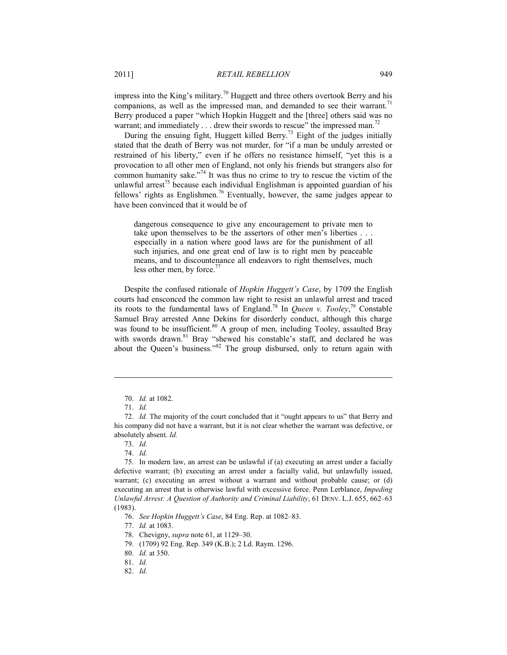impress into the King's military.<sup>70</sup> Huggett and three others overtook Berry and his companions, as well as the impressed man, and demanded to see their warrant.<sup>71</sup> Berry produced a paper "which Hopkin Huggett and the [three] others said was no warrant; and immediately  $\dots$  drew their swords to rescue" the impressed man.<sup>72</sup>

During the ensuing fight, Huggett killed Berry.<sup>73</sup> Eight of the judges initially stated that the death of Berry was not murder, for "if a man be unduly arrested or restrained of his liberty," even if he offers no resistance himself, "yet this is a provocation to all other men of England, not only his friends but strangers also for common humanity sake."<sup>74</sup> It was thus no crime to try to rescue the victim of the unlawful arrest<sup>75</sup> because each individual Englishman is appointed guardian of his fellows' rights as Englishmen.<sup>76</sup> Eventually, however, the same judges appear to have been convinced that it would be of

dangerous consequence to give any encouragement to private men to take upon themselves to be the assertors of other men's liberties . . . especially in a nation where good laws are for the punishment of all such injuries, and one great end of law is to right men by peaceable means, and to discountenance all endeavors to right themselves, much less other men, by force.<sup>77</sup>

Despite the confused rationale of *Hopkin Huggett's Case*, by 1709 the English courts had ensconced the common law right to resist an unlawful arrest and traced its roots to the fundamental laws of England.<sup>78</sup> In *Queen v. Tooley*,<sup>79</sup> Constable Samuel Bray arrested Anne Dekins for disorderly conduct, although this charge was found to be insufficient.<sup>80</sup> A group of men, including Tooley, assaulted Bray with swords drawn.<sup>81</sup> Bray "shewed his constable's staff, and declared he was about the Queen's business."<sup>82</sup> The group disbursed, only to return again with

 <sup>70.</sup> *Id.* at 1082.

 <sup>71.</sup> *Id.*

 <sup>72.</sup> *Id.* The majority of the court concluded that it "ought appears to us" that Berry and his company did not have a warrant, but it is not clear whether the warrant was defective, or absolutely absent. *Id.*

 <sup>73.</sup> *Id.*

 <sup>74.</sup> *Id.*

 <sup>75.</sup> In modern law, an arrest can be unlawful if (a) executing an arrest under a facially defective warrant; (b) executing an arrest under a facially valid, but unlawfully issued, warrant; (c) executing an arrest without a warrant and without probable cause; or (d) executing an arrest that is otherwise lawful with excessive force. Penn Lerblance, *Impeding Unlawful Arrest: A Question of Authority and Criminal Liability*, 61 DENV. L.J. 655, 662–63 (1983).

 <sup>76.</sup> *See Hopkin Huggett's Case*, 84 Eng. Rep. at 1082–83.

 <sup>77.</sup> *Id.* at 1083.

 <sup>78.</sup> Chevigny, *supra* note 61, at 1129–30.

 <sup>79. (1709) 92</sup> Eng. Rep. 349 (K.B.); 2 Ld. Raym. 1296.

 <sup>80.</sup> *Id.* at 350.

 <sup>81.</sup> *Id.*

 <sup>82.</sup> *Id.*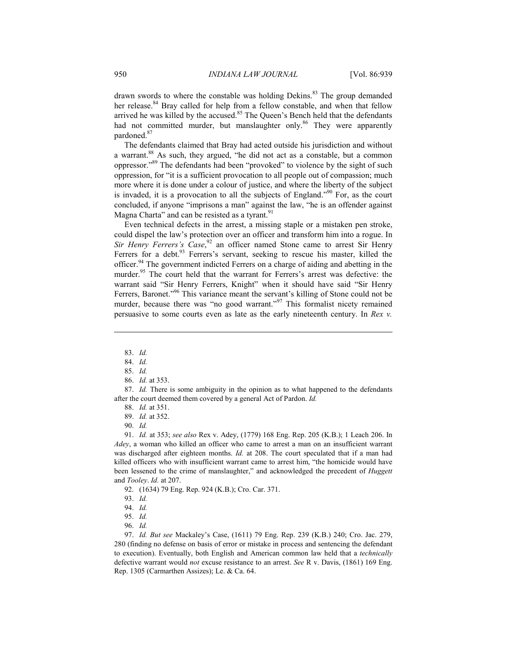drawn swords to where the constable was holding Dekins.<sup>83</sup> The group demanded her release. $84$  Bray called for help from a fellow constable, and when that fellow arrived he was killed by the accused.<sup>85</sup> The Queen's Bench held that the defendants had not committed murder, but manslaughter only.<sup>86</sup> They were apparently pardoned.87

The defendants claimed that Bray had acted outside his jurisdiction and without a warrant.<sup>88</sup> As such, they argued, "he did not act as a constable, but a common oppressor."89 The defendants had been "provoked" to violence by the sight of such oppression, for "it is a sufficient provocation to all people out of compassion; much more where it is done under a colour of justice, and where the liberty of the subject is invaded, it is a provocation to all the subjects of England."<sup>90</sup> For, as the court concluded, if anyone "imprisons a man" against the law, "he is an offender against Magna Charta" and can be resisted as a tyrant.<sup>91</sup>

Even technical defects in the arrest, a missing staple or a mistaken pen stroke, could dispel the law's protection over an officer and transform him into a rogue. In *Sir Henry Ferrers's Case*, 92 an officer named Stone came to arrest Sir Henry Ferrers for a debt.<sup>93</sup> Ferrers's servant, seeking to rescue his master, killed the officer.94 The government indicted Ferrers on a charge of aiding and abetting in the murder.<sup>95</sup> The court held that the warrant for Ferrers's arrest was defective: the warrant said "Sir Henry Ferrers, Knight" when it should have said "Sir Henry Ferrers, Baronet."<sup>96</sup> This variance meant the servant's killing of Stone could not be murder, because there was "no good warrant."<sup>97</sup> This formalist nicety remained persuasive to some courts even as late as the early nineteenth century. In *Rex v.* 

<u>.</u>

 91. *Id.* at 353; *see also* Rex v. Adey, (1779) 168 Eng. Rep. 205 (K.B.); 1 Leach 206. In *Adey*, a woman who killed an officer who came to arrest a man on an insufficient warrant was discharged after eighteen months. *Id.* at 208. The court speculated that if a man had killed officers who with insufficient warrant came to arrest him, "the homicide would have been lessened to the crime of manslaughter," and acknowledged the precedent of *Huggett* and *Tooley*. *Id.* at 207.

92. (1634) 79 Eng. Rep. 924 (K.B.); Cro. Car. 371.

96. *Id.*

 97. *Id. But see* Mackaley's Case, (1611) 79 Eng. Rep. 239 (K.B.) 240; Cro. Jac. 279, 280 (finding no defense on basis of error or mistake in process and sentencing the defendant to execution). Eventually, both English and American common law held that a *technically* defective warrant would *not* excuse resistance to an arrest. *See* R v. Davis, (1861) 169 Eng. Rep. 1305 (Carmarthen Assizes); Le. & Ca. 64.

 <sup>83.</sup> *Id.*

 <sup>84.</sup> *Id.*

 <sup>85.</sup> *Id.*

 <sup>86.</sup> *Id.* at 353.

 <sup>87.</sup> *Id.* There is some ambiguity in the opinion as to what happened to the defendants after the court deemed them covered by a general Act of Pardon. *Id.*

 <sup>88.</sup> *Id.* at 351.

 <sup>89.</sup> *Id.* at 352.

 <sup>90.</sup> *Id.*

 <sup>93.</sup> *Id.*

 <sup>94.</sup> *Id.*

 <sup>95.</sup> *Id.*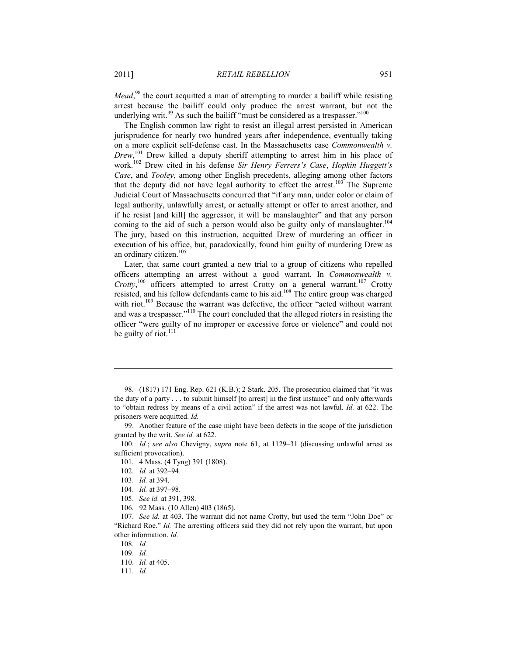Mead,<sup>98</sup> the court acquitted a man of attempting to murder a bailiff while resisting arrest because the bailiff could only produce the arrest warrant, but not the underlying writ.<sup>99</sup> As such the bailiff "must be considered as a trespasser."<sup>100</sup>

The English common law right to resist an illegal arrest persisted in American jurisprudence for nearly two hundred years after independence, eventually taking on a more explicit self-defense cast. In the Massachusetts case *Commonwealth v. Drew*, 101 Drew killed a deputy sheriff attempting to arrest him in his place of work.102 Drew cited in his defense *Sir Henry Ferrers's Case*, *Hopkin Huggett's Case*, and *Tooley*, among other English precedents, alleging among other factors that the deputy did not have legal authority to effect the arrest.<sup>103</sup> The Supreme Judicial Court of Massachusetts concurred that "if any man, under color or claim of legal authority, unlawfully arrest, or actually attempt or offer to arrest another, and if he resist [and kill] the aggressor, it will be manslaughter" and that any person coming to the aid of such a person would also be guilty only of manslaughter.<sup>104</sup> The jury, based on this instruction, acquitted Drew of murdering an officer in execution of his office, but, paradoxically, found him guilty of murdering Drew as an ordinary citizen.<sup>105</sup>

Later, that same court granted a new trial to a group of citizens who repelled officers attempting an arrest without a good warrant. In *Commonwealth v. Crotty*,<sup>106</sup> officers attempted to arrest Crotty on a general warrant.<sup>107</sup> Crotty resisted, and his fellow defendants came to his aid.108 The entire group was charged with riot.<sup>109</sup> Because the warrant was defective, the officer "acted without warrant and was a trespasser."110 The court concluded that the alleged rioters in resisting the officer "were guilty of no improper or excessive force or violence" and could not be guilty of riot.<sup>111</sup>

 99. Another feature of the case might have been defects in the scope of the jurisdiction granted by the writ. *See id.* at 622.

 100. *Id.*; *see also* Chevigny, *supra* note 61, at 1129–31 (discussing unlawful arrest as sufficient provocation).

101. 4 Mass. (4 Tyng) 391 (1808).

1

106. 92 Mass. (10 Allen) 403 (1865).

 107. *See id.* at 403. The warrant did not name Crotty, but used the term "John Doe" or "Richard Roe." *Id.* The arresting officers said they did not rely upon the warrant, but upon other information. *Id.*

108. *Id.*

109. *Id.*

 <sup>98. (1817) 171</sup> Eng. Rep. 621 (K.B.); 2 Stark. 205. The prosecution claimed that "it was the duty of a party . . . to submit himself [to arrest] in the first instance" and only afterwards to "obtain redress by means of a civil action" if the arrest was not lawful. *Id.* at 622. The prisoners were acquitted. *Id.* 

 <sup>102.</sup> *Id.* at 392–94.

 <sup>103.</sup> *Id.* at 394.

 <sup>104.</sup> *Id.* at 397–98.

 <sup>105.</sup> *See id.* at 391, 398.

 <sup>110.</sup> *Id.* at 405.

 <sup>111.</sup> *Id.*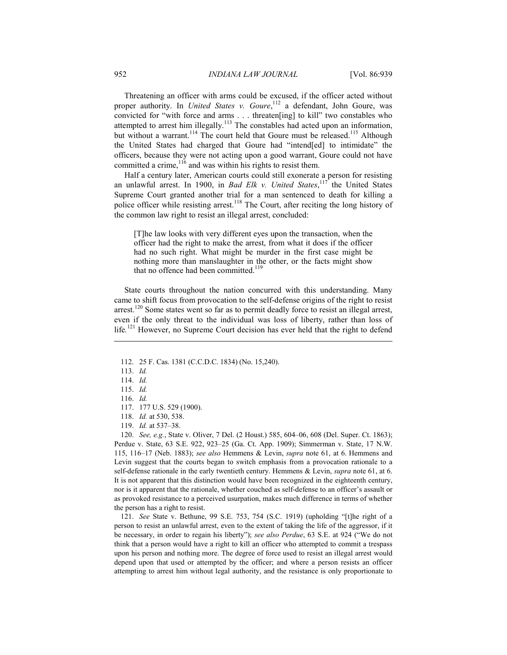Threatening an officer with arms could be excused, if the officer acted without proper authority. In *United States v. Goure*,<sup>112</sup> a defendant, John Goure, was convicted for "with force and arms . . . threaten[ing] to kill" two constables who attempted to arrest him illegally.<sup>113</sup> The constables had acted upon an information, but without a warrant.<sup>114</sup> The court held that Goure must be released.<sup>115</sup> Although the United States had charged that Goure had "intend[ed] to intimidate" the officers, because they were not acting upon a good warrant, Goure could not have committed a crime, $116$  and was within his rights to resist them.

Half a century later, American courts could still exonerate a person for resisting an unlawful arrest. In 1900, in *Bad Elk v. United States*, 117 the United States Supreme Court granted another trial for a man sentenced to death for killing a police officer while resisting arrest.<sup>118</sup> The Court, after reciting the long history of the common law right to resist an illegal arrest, concluded:

[T]he law looks with very different eyes upon the transaction, when the officer had the right to make the arrest, from what it does if the officer had no such right. What might be murder in the first case might be nothing more than manslaughter in the other, or the facts might show that no offence had been committed.<sup>119</sup>

State courts throughout the nation concurred with this understanding. Many came to shift focus from provocation to the self-defense origins of the right to resist arrest.<sup>120</sup> Some states went so far as to permit deadly force to resist an illegal arrest, even if the only threat to the individual was loss of liberty, rather than loss of life.<sup>121</sup> However, no Supreme Court decision has ever held that the right to defend

1

 120. *See, e.g.*, State v. Oliver, 7 Del. (2 Houst.) 585, 604–06, 608 (Del. Super. Ct. 1863); Perdue v. State, 63 S.E. 922, 923–25 (Ga. Ct. App. 1909); Simmerman v. State, 17 N.W. 115, 116–17 (Neb. 1883); *see also* Hemmens & Levin, *supra* note 61, at 6. Hemmens and Levin suggest that the courts began to switch emphasis from a provocation rationale to a self-defense rationale in the early twentieth century. Hemmens & Levin, *supra* note 61, at 6. It is not apparent that this distinction would have been recognized in the eighteenth century, nor is it apparent that the rationale, whether couched as self-defense to an officer's assault or as provoked resistance to a perceived usurpation, makes much difference in terms of whether the person has a right to resist.

 121. *See* State v. Bethune, 99 S.E. 753, 754 (S.C. 1919) (upholding "[t]he right of a person to resist an unlawful arrest, even to the extent of taking the life of the aggressor, if it be necessary, in order to regain his liberty"); *see also Perdue*, 63 S.E. at 924 ("We do not think that a person would have a right to kill an officer who attempted to commit a trespass upon his person and nothing more. The degree of force used to resist an illegal arrest would depend upon that used or attempted by the officer; and where a person resists an officer attempting to arrest him without legal authority, and the resistance is only proportionate to

 <sup>112. 25</sup> F. Cas. 1381 (C.C.D.C. 1834) (No. 15,240).

 <sup>113.</sup> *Id.*

 <sup>114.</sup> *Id.*

 <sup>115.</sup> *Id.*

 <sup>116.</sup> *Id.*

 <sup>117. 177</sup> U.S. 529 (1900).

 <sup>118.</sup> *Id.* at 530, 538.

 <sup>119.</sup> *Id.* at 537–38.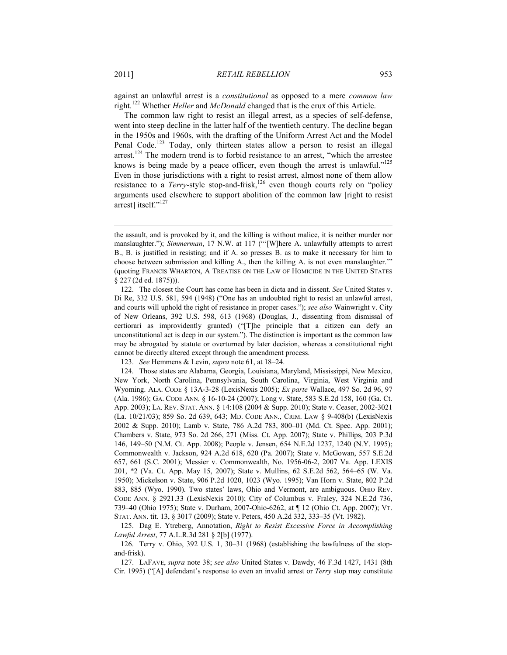against an unlawful arrest is a *constitutional* as opposed to a mere *common law* right.122 Whether *Heller* and *McDonald* changed that is the crux of this Article.

The common law right to resist an illegal arrest, as a species of self-defense, went into steep decline in the latter half of the twentieth century. The decline began in the 1950s and 1960s, with the drafting of the Uniform Arrest Act and the Model Penal Code.<sup>123</sup> Today, only thirteen states allow a person to resist an illegal arrest.<sup>124</sup> The modern trend is to forbid resistance to an arrest, "which the arrestee knows is being made by a peace officer, even though the arrest is unlawful."<sup>125</sup> Even in those jurisdictions with a right to resist arrest, almost none of them allow resistance to a *Terry*-style stop-and-frisk,<sup>126</sup> even though courts rely on "policy" arguments used elsewhere to support abolition of the common law [right to resist arrest] itself."127

the assault, and is provoked by it, and the killing is without malice, it is neither murder nor manslaughter."); *Simmerman*, 17 N.W. at 117 ("'[W]here A. unlawfully attempts to arrest B., B. is justified in resisting; and if A. so presses B. as to make it necessary for him to choose between submission and killing A., then the killing A. is not even manslaughter.'" (quoting FRANCIS WHARTON, A TREATISE ON THE LAW OF HOMICIDE IN THE UNITED STATES § 227 (2d ed. 1875))).

 <sup>122.</sup> The closest the Court has come has been in dicta and in dissent. *See* United States v. Di Re, 332 U.S. 581, 594 (1948) ("One has an undoubted right to resist an unlawful arrest, and courts will uphold the right of resistance in proper cases."); *see also* Wainwright v. City of New Orleans, 392 U.S. 598, 613 (1968) (Douglas, J., dissenting from dismissal of certiorari as improvidently granted) ("[T]he principle that a citizen can defy an unconstitutional act is deep in our system."). The distinction is important as the common law may be abrogated by statute or overturned by later decision, whereas a constitutional right cannot be directly altered except through the amendment process.

 <sup>123.</sup> *See* Hemmens & Levin, *supra* note 61, at 18–24.

 <sup>124.</sup> Those states are Alabama, Georgia, Louisiana, Maryland, Mississippi, New Mexico, New York, North Carolina, Pennsylvania, South Carolina, Virginia, West Virginia and Wyoming. ALA. CODE § 13A-3-28 (LexisNexis 2005); *Ex parte* Wallace, 497 So. 2d 96, 97 (Ala. 1986); GA. CODE ANN. § 16-10-24 (2007); Long v. State, 583 S.E.2d 158, 160 (Ga. Ct. App. 2003); LA. REV. STAT. ANN. § 14:108 (2004 & Supp. 2010); State v. Ceaser, 2002-3021 (La. 10/21/03); 859 So. 2d 639, 643; MD. CODE ANN., CRIM. LAW § 9-408(b) (LexisNexis 2002 & Supp. 2010); Lamb v. State, 786 A.2d 783, 800–01 (Md. Ct. Spec. App. 2001); Chambers v. State, 973 So. 2d 266, 271 (Miss. Ct. App. 2007); State v. Phillips, 203 P.3d 146, 149–50 (N.M. Ct. App. 2008); People v. Jensen, 654 N.E.2d 1237, 1240 (N.Y. 1995); Commonwealth v. Jackson, 924 A.2d 618, 620 (Pa. 2007); State v. McGowan, 557 S.E.2d 657, 661 (S.C. 2001); Messier v. Commonwealth, No. 1956-06-2, 2007 Va. App. LEXIS 201, \*2 (Va. Ct. App. May 15, 2007); State v. Mullins, 62 S.E.2d 562, 564–65 (W. Va. 1950); Mickelson v. State, 906 P.2d 1020, 1023 (Wyo. 1995); Van Horn v. State, 802 P.2d 883, 885 (Wyo. 1990). Two states' laws, Ohio and Vermont, are ambiguous. OHIO REV. CODE ANN. § 2921.33 (LexisNexis 2010); City of Columbus v. Fraley, 324 N.E.2d 736, 739–40 (Ohio 1975); State v. Durham, 2007-Ohio-6262, at ¶ 12 (Ohio Ct. App. 2007); VT. STAT. ANN. tit. 13, § 3017 (2009); State v. Peters, 450 A.2d 332, 333–35 (Vt. 1982).

 <sup>125.</sup> Dag E. Ytreberg, Annotation, *Right to Resist Excessive Force in Accomplishing Lawful Arrest*, 77 A.L.R.3d 281 § 2[b] (1977).

 <sup>126.</sup> Terry v. Ohio, 392 U.S. 1, 30–31 (1968) (establishing the lawfulness of the stopand-frisk).

 <sup>127.</sup> LAFAVE, *supra* note 38; *see also* United States v. Dawdy, 46 F.3d 1427, 1431 (8th Cir. 1995) ("[A] defendant's response to even an invalid arrest or *Terry* stop may constitute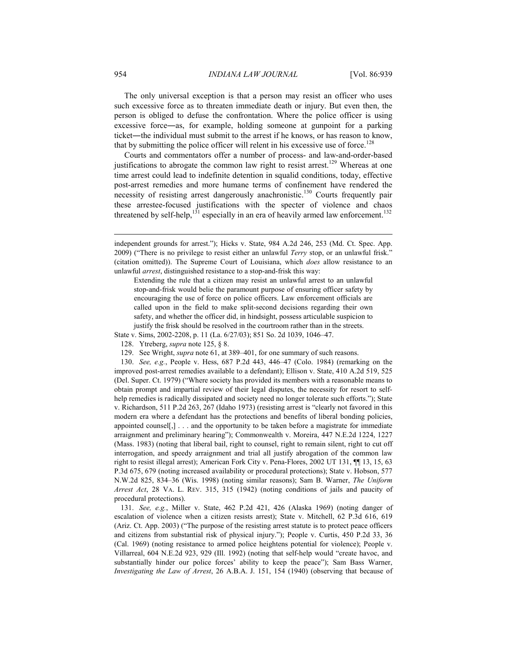The only universal exception is that a person may resist an officer who uses such excessive force as to threaten immediate death or injury. But even then, the person is obliged to defuse the confrontation. Where the police officer is using excessive force―as, for example, holding someone at gunpoint for a parking ticket―the individual must submit to the arrest if he knows, or has reason to know, that by submitting the police officer will relent in his excessive use of force.<sup>128</sup>

Courts and commentators offer a number of process- and law-and-order-based justifications to abrogate the common law right to resist arrest.<sup>129</sup> Whereas at one time arrest could lead to indefinite detention in squalid conditions, today, effective post-arrest remedies and more humane terms of confinement have rendered the necessity of resisting arrest dangerously anachronistic.<sup>130</sup> Courts frequently pair these arrestee-focused justifications with the specter of violence and chaos threatened by self-help,<sup>131</sup> especially in an era of heavily armed law enforcement.<sup>132</sup>

Extending the rule that a citizen may resist an unlawful arrest to an unlawful stop-and-frisk would belie the paramount purpose of ensuring officer safety by encouraging the use of force on police officers. Law enforcement officials are called upon in the field to make split-second decisions regarding their own safety, and whether the officer did, in hindsight, possess articulable suspicion to justify the frisk should be resolved in the courtroom rather than in the streets.

State v. Sims, 2002-2208, p. 11 (La. 6/27/03); 851 So. 2d 1039, 1046–47.

128. Ytreberg, *supra* note 125, § 8.

129. See Wright, *supra* note 61, at 389–401, for one summary of such reasons.

 130. *See, e.g.*, People v. Hess, 687 P.2d 443, 446–47 (Colo. 1984) (remarking on the improved post-arrest remedies available to a defendant); Ellison v. State, 410 A.2d 519, 525 (Del. Super. Ct. 1979) ("Where society has provided its members with a reasonable means to obtain prompt and impartial review of their legal disputes, the necessity for resort to selfhelp remedies is radically dissipated and society need no longer tolerate such efforts."); State v. Richardson, 511 P.2d 263, 267 (Idaho 1973) (resisting arrest is "clearly not favored in this modern era where a defendant has the protections and benefits of liberal bonding policies, appointed counsel[,] . . . and the opportunity to be taken before a magistrate for immediate arraignment and preliminary hearing"); Commonwealth v. Moreira, 447 N.E.2d 1224, 1227 (Mass. 1983) (noting that liberal bail, right to counsel, right to remain silent, right to cut off interrogation, and speedy arraignment and trial all justify abrogation of the common law right to resist illegal arrest); American Fork City v. Pena-Flores, 2002 UT 131, ¶¶ 13, 15, 63 P.3d 675, 679 (noting increased availability or procedural protections); State v. Hobson, 577 N.W.2d 825, 834–36 (Wis. 1998) (noting similar reasons); Sam B. Warner, *The Uniform Arrest Act*, 28 VA. L. REV. 315, 315 (1942) (noting conditions of jails and paucity of procedural protections).

 131. *See, e.g.*, Miller v. State, 462 P.2d 421, 426 (Alaska 1969) (noting danger of escalation of violence when a citizen resists arrest); State v. Mitchell, 62 P.3d 616, 619 (Ariz. Ct. App. 2003) ("The purpose of the resisting arrest statute is to protect peace officers and citizens from substantial risk of physical injury."); People v. Curtis, 450 P.2d 33, 36 (Cal. 1969) (noting resistance to armed police heightens potential for violence); People v. Villarreal, 604 N.E.2d 923, 929 (Ill. 1992) (noting that self-help would "create havoc, and substantially hinder our police forces' ability to keep the peace"); Sam Bass Warner, *Investigating the Law of Arrest*, 26 A.B.A. J. 151, 154 (1940) (observing that because of

independent grounds for arrest."); Hicks v. State, 984 A.2d 246, 253 (Md. Ct. Spec. App. 2009) ("There is no privilege to resist either an unlawful *Terry* stop, or an unlawful frisk." (citation omitted)). The Supreme Court of Louisiana, which *does* allow resistance to an unlawful *arrest*, distinguished resistance to a stop-and-frisk this way: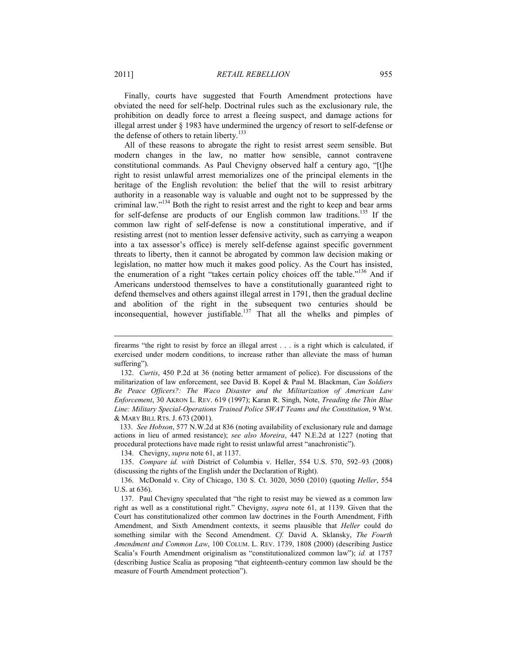Finally, courts have suggested that Fourth Amendment protections have obviated the need for self-help. Doctrinal rules such as the exclusionary rule, the prohibition on deadly force to arrest a fleeing suspect, and damage actions for illegal arrest under § 1983 have undermined the urgency of resort to self-defense or the defense of others to retain liberty.<sup>133</sup>

All of these reasons to abrogate the right to resist arrest seem sensible. But modern changes in the law, no matter how sensible, cannot contravene constitutional commands. As Paul Chevigny observed half a century ago, "[t]he right to resist unlawful arrest memorializes one of the principal elements in the heritage of the English revolution: the belief that the will to resist arbitrary authority in a reasonable way is valuable and ought not to be suppressed by the criminal law."134 Both the right to resist arrest and the right to keep and bear arms for self-defense are products of our English common law traditions.135 If the common law right of self-defense is now a constitutional imperative, and if resisting arrest (not to mention lesser defensive activity, such as carrying a weapon into a tax assessor's office) is merely self-defense against specific government threats to liberty, then it cannot be abrogated by common law decision making or legislation, no matter how much it makes good policy. As the Court has insisted, the enumeration of a right "takes certain policy choices off the table."<sup>136</sup> And if Americans understood themselves to have a constitutionally guaranteed right to defend themselves and others against illegal arrest in 1791, then the gradual decline and abolition of the right in the subsequent two centuries should be inconsequential, however justifiable.<sup>137</sup> That all the whelks and pimples of

 133. *See Hobson*, 577 N.W.2d at 836 (noting availability of exclusionary rule and damage actions in lieu of armed resistance); *see also Moreira*, 447 N.E.2d at 1227 (noting that procedural protections have made right to resist unlawful arrest "anachronistic").

134. Chevigny, *supra* note 61, at 1137.

 135. *Compare id. with* District of Columbia v. Heller, 554 U.S. 570, 592–93 (2008) (discussing the rights of the English under the Declaration of Right).

 136. McDonald v. City of Chicago, 130 S. Ct. 3020, 3050 (2010) (quoting *Heller*, 554 U.S. at 636).

firearms "the right to resist by force an illegal arrest . . . is a right which is calculated, if exercised under modern conditions, to increase rather than alleviate the mass of human suffering").

 <sup>132.</sup> *Curtis*, 450 P.2d at 36 (noting better armament of police). For discussions of the militarization of law enforcement, see David B. Kopel & Paul M. Blackman, *Can Soldiers Be Peace Officers?: The Waco Disaster and the Militarization of American Law Enforcement*, 30 AKRON L. REV. 619 (1997); Karan R. Singh, Note, *Treading the Thin Blue Line: Military Special-Operations Trained Police SWAT Teams and the Constitution*, 9 WM. & MARY BILL RTS. J. 673 (2001).

 <sup>137.</sup> Paul Chevigny speculated that "the right to resist may be viewed as a common law right as well as a constitutional right." Chevigny, *supra* note 61, at 1139. Given that the Court has constitutionalized other common law doctrines in the Fourth Amendment, Fifth Amendment, and Sixth Amendment contexts, it seems plausible that *Heller* could do something similar with the Second Amendment. *Cf.* David A. Sklansky, *The Fourth Amendment and Common Law*, 100 COLUM. L. REV. 1739, 1808 (2000) (describing Justice Scalia's Fourth Amendment originalism as "constitutionalized common law"); *id.* at 1757 (describing Justice Scalia as proposing "that eighteenth-century common law should be the measure of Fourth Amendment protection").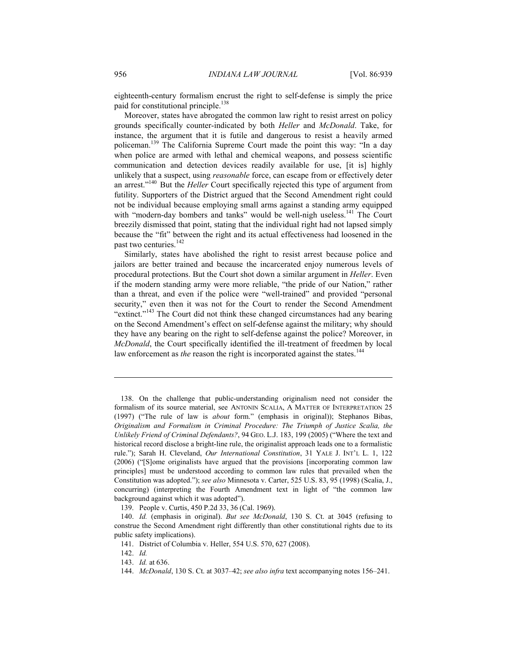eighteenth-century formalism encrust the right to self-defense is simply the price paid for constitutional principle.<sup>138</sup>

Moreover, states have abrogated the common law right to resist arrest on policy grounds specifically counter-indicated by both *Heller* and *McDonald*. Take, for instance, the argument that it is futile and dangerous to resist a heavily armed policeman.<sup>139</sup> The California Supreme Court made the point this way: "In a day when police are armed with lethal and chemical weapons, and possess scientific communication and detection devices readily available for use, [it is] highly unlikely that a suspect, using *reasonable* force, can escape from or effectively deter an arrest."<sup>140</sup> But the *Heller* Court specifically rejected this type of argument from futility. Supporters of the District argued that the Second Amendment right could not be individual because employing small arms against a standing army equipped with "modern-day bombers and tanks" would be well-nigh useless.<sup>141</sup> The Court breezily dismissed that point, stating that the individual right had not lapsed simply because the "fit" between the right and its actual effectiveness had loosened in the past two centuries.<sup>142</sup>

Similarly, states have abolished the right to resist arrest because police and jailors are better trained and because the incarcerated enjoy numerous levels of procedural protections. But the Court shot down a similar argument in *Heller*. Even if the modern standing army were more reliable, "the pride of our Nation," rather than a threat, and even if the police were "well-trained" and provided "personal security," even then it was not for the Court to render the Second Amendment "extinct."<sup>143</sup> The Court did not think these changed circumstances had any bearing on the Second Amendment's effect on self-defense against the military; why should they have any bearing on the right to self-defense against the police? Moreover, in *McDonald*, the Court specifically identified the ill-treatment of freedmen by local law enforcement as *the* reason the right is incorporated against the states.<sup>144</sup>

 <sup>138.</sup> On the challenge that public-understanding originalism need not consider the formalism of its source material, see ANTONIN SCALIA, A MATTER OF INTERPRETATION 25 (1997) ("The rule of law is *about* form." (emphasis in original)); Stephanos Bibas, *Originalism and Formalism in Criminal Procedure: The Triumph of Justice Scalia, the Unlikely Friend of Criminal Defendants?*, 94 GEO. L.J. 183, 199 (2005) ("Where the text and historical record disclose a bright-line rule, the originalist approach leads one to a formalistic rule."); Sarah H. Cleveland, *Our International Constitution*, 31 YALE J. INT'L L. 1, 122 (2006) ("[S]ome originalists have argued that the provisions [incorporating common law principles] must be understood according to common law rules that prevailed when the Constitution was adopted."); *see also* Minnesota v. Carter, 525 U.S. 83, 95 (1998) (Scalia, J., concurring) (interpreting the Fourth Amendment text in light of "the common law background against which it was adopted").

 <sup>139.</sup> People v. Curtis, 450 P.2d 33, 36 (Cal. 1969).

 <sup>140.</sup> *Id.* (emphasis in original). *But see McDonald*, 130 S. Ct. at 3045 (refusing to construe the Second Amendment right differently than other constitutional rights due to its public safety implications).

 <sup>141.</sup> District of Columbia v. Heller, 554 U.S. 570, 627 (2008).

 <sup>142.</sup> *Id.*

 <sup>143.</sup> *Id.* at 636.

 <sup>144.</sup> *McDonald*, 130 S. Ct. at 3037–42; *see also infra* text accompanying notes 156–241.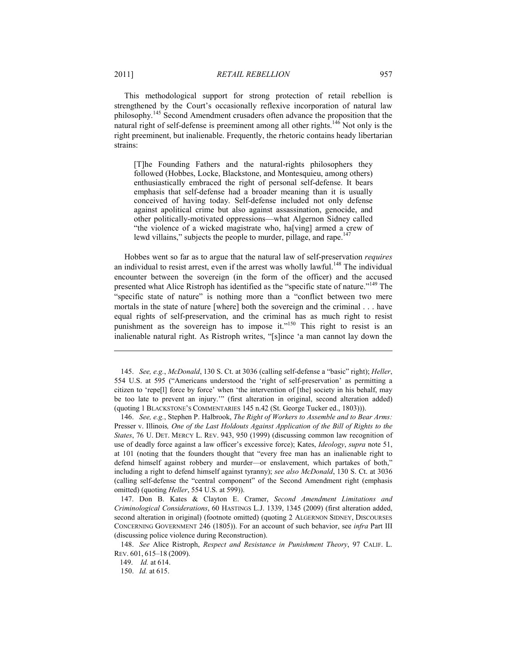This methodological support for strong protection of retail rebellion is strengthened by the Court's occasionally reflexive incorporation of natural law philosophy.145 Second Amendment crusaders often advance the proposition that the natural right of self-defense is preeminent among all other rights.<sup>146</sup> Not only is the right preeminent, but inalienable. Frequently, the rhetoric contains heady libertarian strains:

[T]he Founding Fathers and the natural-rights philosophers they followed (Hobbes, Locke, Blackstone, and Montesquieu, among others) enthusiastically embraced the right of personal self-defense. It bears emphasis that self-defense had a broader meaning than it is usually conceived of having today. Self-defense included not only defense against apolitical crime but also against assassination, genocide, and other politically-motivated oppressions—what Algernon Sidney called "the violence of a wicked magistrate who, ha[ving] armed a crew of lewd villains," subjects the people to murder, pillage, and rape.<sup>147</sup>

Hobbes went so far as to argue that the natural law of self-preservation *requires*  an individual to resist arrest, even if the arrest was wholly lawful.<sup>148</sup> The individual encounter between the sovereign (in the form of the officer) and the accused presented what Alice Ristroph has identified as the "specific state of nature."<sup>149</sup> The "specific state of nature" is nothing more than a "conflict between two mere mortals in the state of nature [where] both the sovereign and the criminal . . . have equal rights of self-preservation, and the criminal has as much right to resist punishment as the sovereign has to impose it."<sup>150</sup> This right to resist is an inalienable natural right. As Ristroph writes, "[s]ince 'a man cannot lay down the

 <sup>145.</sup> *See, e.g.*, *McDonald*, 130 S. Ct. at 3036 (calling self-defense a "basic" right); *Heller*, 554 U.S. at 595 ("Americans understood the 'right of self-preservation' as permitting a citizen to 'repe[l] force by force' when 'the intervention of [the] society in his behalf, may be too late to prevent an injury.'" (first alteration in original, second alteration added) (quoting 1 BLACKSTONE'S COMMENTARIES 145 n.42 (St. George Tucker ed., 1803))).

 <sup>146.</sup> *See, e.g.*, Stephen P. Halbrook, *The Right of Workers to Assemble and to Bear Arms:*  Presser v. Illinois*, One of the Last Holdouts Against Application of the Bill of Rights to the States*, 76 U. DET. MERCY L. REV. 943, 950 (1999) (discussing common law recognition of use of deadly force against a law officer's excessive force); Kates, *Ideology*, *supra* note 51, at 101 (noting that the founders thought that "every free man has an inalienable right to defend himself against robbery and murder—or enslavement, which partakes of both," including a right to defend himself against tyranny); *see also McDonald*, 130 S. Ct. at 3036 (calling self-defense the "central component" of the Second Amendment right (emphasis omitted) (quoting *Heller*, 554 U.S. at 599)).

 <sup>147.</sup> Don B. Kates & Clayton E. Cramer, *Second Amendment Limitations and Criminological Considerations*, 60 HASTINGS L.J. 1339, 1345 (2009) (first alteration added, second alteration in original) (footnote omitted) (quoting 2 ALGERNON SIDNEY, DISCOURSES CONCERNING GOVERNMENT 246 (1805)). For an account of such behavior, see *infra* Part III (discussing police violence during Reconstruction).

 <sup>148.</sup> *See* Alice Ristroph, *Respect and Resistance in Punishment Theory*, 97 CALIF. L. REV. 601, 615–18 (2009).

 <sup>149.</sup> *Id.* at 614.

 <sup>150.</sup> *Id.* at 615.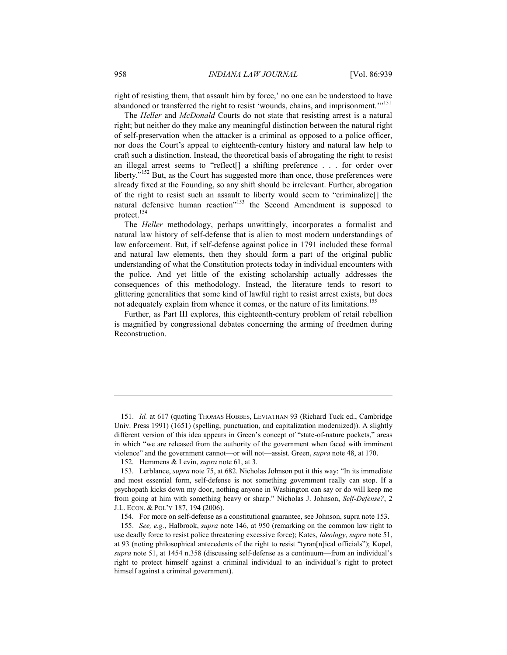right of resisting them, that assault him by force,' no one can be understood to have abandoned or transferred the right to resist 'wounds, chains, and imprisonment.'"<sup>151</sup>

The *Heller* and *McDonald* Courts do not state that resisting arrest is a natural right; but neither do they make any meaningful distinction between the natural right of self-preservation when the attacker is a criminal as opposed to a police officer, nor does the Court's appeal to eighteenth-century history and natural law help to craft such a distinction. Instead, the theoretical basis of abrogating the right to resist an illegal arrest seems to "reflect[] a shifting preference . . . for order over liberty."<sup>152</sup> But, as the Court has suggested more than once, those preferences were already fixed at the Founding, so any shift should be irrelevant. Further, abrogation of the right to resist such an assault to liberty would seem to "criminalize[] the natural defensive human reaction<sup>"153</sup> the Second Amendment is supposed to protect.154

The *Heller* methodology, perhaps unwittingly, incorporates a formalist and natural law history of self-defense that is alien to most modern understandings of law enforcement. But, if self-defense against police in 1791 included these formal and natural law elements, then they should form a part of the original public understanding of what the Constitution protects today in individual encounters with the police. And yet little of the existing scholarship actually addresses the consequences of this methodology. Instead, the literature tends to resort to glittering generalities that some kind of lawful right to resist arrest exists, but does not adequately explain from whence it comes, or the nature of its limitations.<sup>155</sup>

Further, as Part III explores, this eighteenth-century problem of retail rebellion is magnified by congressional debates concerning the arming of freedmen during Reconstruction.

 <sup>151.</sup> *Id.* at 617 (quoting THOMAS HOBBES, LEVIATHAN 93 (Richard Tuck ed., Cambridge Univ. Press 1991) (1651) (spelling, punctuation, and capitalization modernized)). A slightly different version of this idea appears in Green's concept of "state-of-nature pockets," areas in which "we are released from the authority of the government when faced with imminent violence" and the government cannot—or will not—assist. Green, *supra* note 48, at 170.

 <sup>152.</sup> Hemmens & Levin, *supra* note 61, at 3.

 <sup>153.</sup> Lerblance, *supra* note 75, at 682. Nicholas Johnson put it this way: "In its immediate and most essential form, self-defense is not something government really can stop. If a psychopath kicks down my door, nothing anyone in Washington can say or do will keep me from going at him with something heavy or sharp." Nicholas J. Johnson, *Self-Defense?*, 2 J.L. ECON. & POL'Y 187, 194 (2006).

 <sup>154.</sup> For more on self-defense as a constitutional guarantee, see Johnson, supra note 153.

 <sup>155.</sup> *See, e.g.*, Halbrook, *supra* note 146, at 950 (remarking on the common law right to use deadly force to resist police threatening excessive force); Kates, *Ideology*, *supra* note 51, at 93 (noting philosophical antecedents of the right to resist "tyran[n]ical officials"); Kopel, *supra* note 51, at 1454 n.358 (discussing self-defense as a continuum—from an individual's right to protect himself against a criminal individual to an individual's right to protect himself against a criminal government).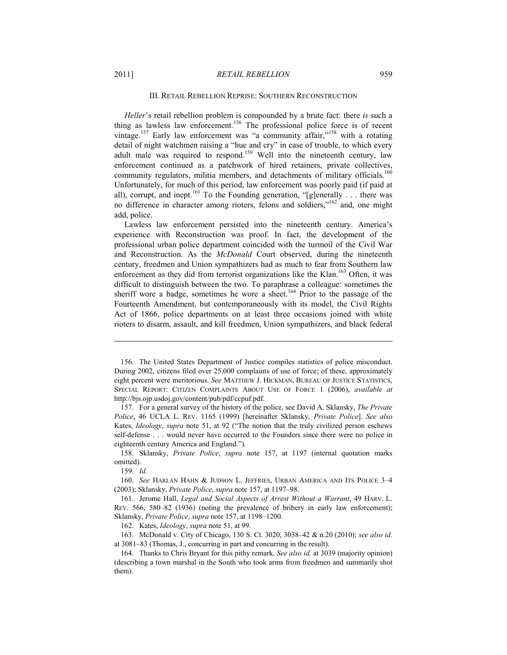#### III. RETAIL REBELLION REPRISE: SOUTHERN RECONSTRUCTION

*Heller*'s retail rebellion problem is compounded by a brute fact: there *is* such a thing as lawless law enforcement.<sup>156</sup> The professional police force is of recent vintage.<sup>157</sup> Early law enforcement was "a community affair,"<sup>158</sup> with a rotating detail of night watchmen raising a "hue and cry" in case of trouble, to which every adult male was required to respond.<sup>159</sup> Well into the nineteenth century, law enforcement continued as a patchwork of hired retainers, private collectives, community regulators, militia members, and detachments of military officials.<sup>160</sup> Unfortunately, for much of this period, law enforcement was poorly paid (if paid at all), corrupt, and inept.<sup>161</sup> To the Founding generation, "[g]enerally  $\dots$  there was no difference in character among rioters, felons and soldiers,"<sup>162</sup> and, one might add, police.

Lawless law enforcement persisted into the nineteenth century. America's experience with Reconstruction was proof. In fact, the development of the professional urban police department coincided with the turmoil of the Civil War and Reconstruction. As the *McDonald* Court observed, during the nineteenth century, freedmen and Union sympathizers had as much to fear from Southern law enforcement as they did from terrorist organizations like the Klan.<sup>163</sup> Often, it was difficult to distinguish between the two. To paraphrase a colleague: sometimes the sheriff wore a badge, sometimes he wore a sheet.<sup>164</sup> Prior to the passage of the Fourteenth Amendment, but contemporaneously with its model, the Civil Rights Act of 1866, police departments on at least three occasions joined with white rioters to disarm, assault, and kill freedmen, Union sympathizers, and black federal

1

162. Kates, *Ideology*, *supra* note 51, at 99.

 163. McDonald v. City of Chicago, 130 S. Ct. 3020, 3038–42 & n.20 (2010); *see also id.* at 3081–83 (Thomas, J., concurring in part and concurring in the result).

 <sup>156.</sup> The United States Department of Justice compiles statistics of police misconduct. During 2002, citizens filed over 25,000 complaints of use of force; of these, approximately eight percent were meritorious. *See* MATTHEW J. HICKMAN, BUREAU OF JUSTICE STATISTICS, SPECIAL REPORT: CITIZEN COMPLAINTS ABOUT USE OF FORCE 1 (2006), *available at* http://bjs.ojp.usdoj.gov/content/pub/pdf/ccpuf.pdf.

 <sup>157.</sup> For a general survey of the history of the police, see David A. Sklansky, *The Private Police*, 46 UCLA L. REV. 1165 (1999) [hereinafter Sklansky, *Private Police*]. *See also*  Kates, *Ideology*, *supra* note 51, at 92 ("The notion that the truly civilized person eschews self-defense . . . would never have occurred to the Founders since there were no police in eighteenth century America and England.").

 <sup>158.</sup> Sklansky, *Private Police*, *supra* note 157, at 1197 (internal quotation marks omitted).

 <sup>159.</sup> *Id.*

 <sup>160.</sup> *See* HARLAN HAHN & JUDSON L. JEFFRIES, URBAN AMERICA AND ITS POLICE 3–4 (2003); Sklansky, *Private Police*, *supra* note 157, at 1197–98.

 <sup>161.</sup> Jerome Hall, *Legal and Social Aspects of Arrest Without a Warrant*, 49 HARV. L. REV. 566, 580–82 (1936) (noting the prevalence of bribery in early law enforcement); Sklansky, *Private Police*, *supra* note 157, at 1198–1200.

 <sup>164.</sup> Thanks to Chris Bryant for this pithy remark. *See also id.* at 3039 (majority opinion) (describing a town marshal in the South who took arms from freedmen and summarily shot them).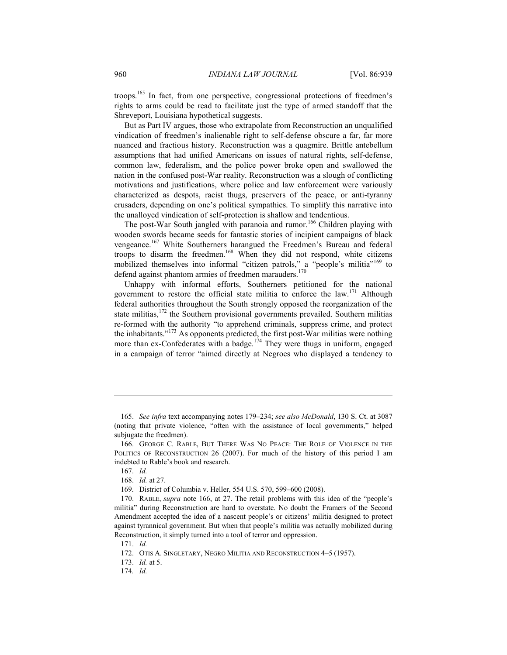troops.165 In fact, from one perspective, congressional protections of freedmen's rights to arms could be read to facilitate just the type of armed standoff that the Shreveport, Louisiana hypothetical suggests.

But as Part IV argues, those who extrapolate from Reconstruction an unqualified vindication of freedmen's inalienable right to self-defense obscure a far, far more nuanced and fractious history. Reconstruction was a quagmire. Brittle antebellum assumptions that had unified Americans on issues of natural rights, self-defense, common law, federalism, and the police power broke open and swallowed the nation in the confused post-War reality. Reconstruction was a slough of conflicting motivations and justifications, where police and law enforcement were variously characterized as despots, racist thugs, preservers of the peace, or anti-tyranny crusaders, depending on one's political sympathies. To simplify this narrative into the unalloyed vindication of self-protection is shallow and tendentious.

The post-War South jangled with paranoia and rumor.<sup>166</sup> Children playing with wooden swords became seeds for fantastic stories of incipient campaigns of black vengeance.167 White Southerners harangued the Freedmen's Bureau and federal troops to disarm the freedmen.<sup>168</sup> When they did not respond, white citizens mobilized themselves into informal "citizen patrols," a "people's militia"<sup>169</sup> to defend against phantom armies of freedmen marauders.<sup>170</sup>

Unhappy with informal efforts, Southerners petitioned for the national government to restore the official state militia to enforce the law.<sup>171</sup> Although federal authorities throughout the South strongly opposed the reorganization of the state militias,<sup>172</sup> the Southern provisional governments prevailed. Southern militias re-formed with the authority "to apprehend criminals, suppress crime, and protect the inhabitants."173 As opponents predicted, the first post-War militias were nothing more than ex-Confederates with a badge.<sup>174</sup> They were thugs in uniform, engaged in a campaign of terror "aimed directly at Negroes who displayed a tendency to

1

173. *Id.* at 5.

 <sup>165.</sup> *See infra* text accompanying notes 179–234; *see also McDonald*, 130 S. Ct. at 3087 (noting that private violence, "often with the assistance of local governments," helped subjugate the freedmen).

 <sup>166.</sup> GEORGE C. RABLE, BUT THERE WAS NO PEACE: THE ROLE OF VIOLENCE IN THE POLITICS OF RECONSTRUCTION 26 (2007). For much of the history of this period I am indebted to Rable's book and research.

 <sup>167.</sup> *Id.*

 <sup>168.</sup> *Id.* at 27.

 <sup>169.</sup> District of Columbia v. Heller, 554 U.S. 570, 599–600 (2008).

 <sup>170.</sup> RABLE, *supra* note 166, at 27. The retail problems with this idea of the "people's militia" during Reconstruction are hard to overstate. No doubt the Framers of the Second Amendment accepted the idea of a nascent people's or citizens' militia designed to protect against tyrannical government. But when that people's militia was actually mobilized during Reconstruction, it simply turned into a tool of terror and oppression.

 <sup>171.</sup> *Id.*

 <sup>172.</sup> OTIS A. SINGLETARY, NEGRO MILITIA AND RECONSTRUCTION 4–5 (1957).

<sup>174</sup>*. Id.*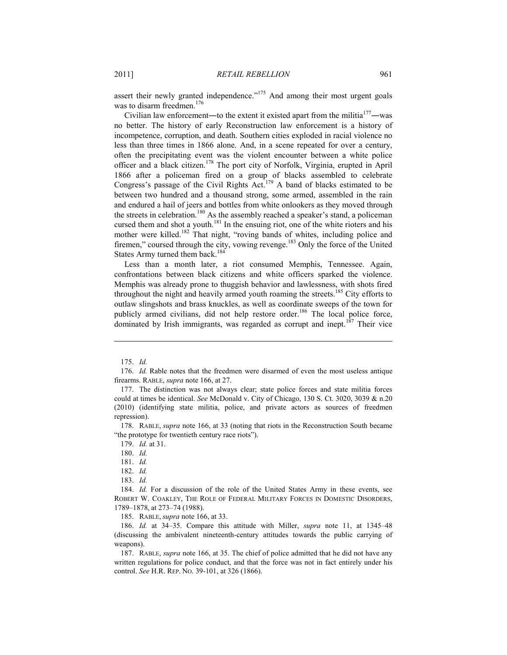assert their newly granted independence."<sup>175</sup> And among their most urgent goals was to disarm freedmen.<sup>176</sup>

Civilian law enforcement—to the extent it existed apart from the militia $177$ —was no better. The history of early Reconstruction law enforcement is a history of incompetence, corruption, and death. Southern cities exploded in racial violence no less than three times in 1866 alone. And, in a scene repeated for over a century, often the precipitating event was the violent encounter between a white police officer and a black citizen.178 The port city of Norfolk, Virginia, erupted in April 1866 after a policeman fired on a group of blacks assembled to celebrate Congress's passage of the Civil Rights Act.<sup>179</sup> A band of blacks estimated to be between two hundred and a thousand strong, some armed, assembled in the rain and endured a hail of jeers and bottles from white onlookers as they moved through the streets in celebration.<sup>180</sup> As the assembly reached a speaker's stand, a policeman cursed them and shot a youth.<sup>181</sup> In the ensuing riot, one of the white rioters and his mother were killed.<sup>182</sup> That night, "roving bands of whites, including police and firemen," coursed through the city, vowing revenge.<sup>183</sup> Only the force of the United States Army turned them back.<sup>184</sup>

Less than a month later, a riot consumed Memphis, Tennessee. Again, confrontations between black citizens and white officers sparked the violence. Memphis was already prone to thuggish behavior and lawlessness, with shots fired throughout the night and heavily armed youth roaming the streets.<sup>185</sup> City efforts to outlaw slingshots and brass knuckles, as well as coordinate sweeps of the town for publicly armed civilians, did not help restore order.<sup>186</sup> The local police force, dominated by Irish immigrants, was regarded as corrupt and inept.<sup>187</sup> Their vice

1

185. RABLE, *supra* note 166, at 33.

 186. *Id.* at 34–35. Compare this attitude with Miller, *supra* note 11, at 1345–48 (discussing the ambivalent nineteenth-century attitudes towards the public carrying of weapons).

 187. RABLE, *supra* note 166, at 35. The chief of police admitted that he did not have any written regulations for police conduct, and that the force was not in fact entirely under his control. *See* H.R. REP. NO. 39-101, at 326 (1866).

 <sup>175.</sup> *Id.*

 <sup>176.</sup> *Id.* Rable notes that the freedmen were disarmed of even the most useless antique firearms. RABLE, *supra* note 166, at 27.

 <sup>177.</sup> The distinction was not always clear; state police forces and state militia forces could at times be identical. *See* McDonald v. City of Chicago, 130 S. Ct. 3020, 3039 & n.20 (2010) (identifying state militia, police, and private actors as sources of freedmen repression).

 <sup>178.</sup> RABLE, *supra* note 166, at 33 (noting that riots in the Reconstruction South became "the prototype for twentieth century race riots").

 <sup>179.</sup> *Id.* at 31.

 <sup>180.</sup> *Id.*

 <sup>181.</sup> *Id.*

 <sup>182.</sup> *Id.*

 <sup>183.</sup> *Id.*

<sup>184.</sup> *Id.* For a discussion of the role of the United States Army in these events, see ROBERT W. COAKLEY, THE ROLE OF FEDERAL MILITARY FORCES IN DOMESTIC DISORDERS, 1789–1878, at 273–74 (1988).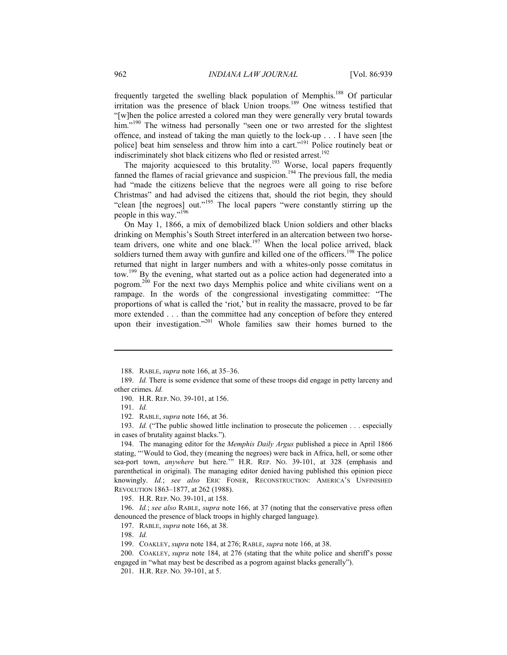frequently targeted the swelling black population of Memphis.<sup>188</sup> Of particular irritation was the presence of black Union troops.<sup>189</sup> One witness testified that "[w]hen the police arrested a colored man they were generally very brutal towards him."<sup>190</sup> The witness had personally "seen one or two arrested for the slightest offence, and instead of taking the man quietly to the lock-up . . . I have seen [the police] beat him senseless and throw him into a cart."<sup>191</sup> Police routinely beat or indiscriminately shot black citizens who fled or resisted arrest.<sup>192</sup>

The majority acquiesced to this brutality.<sup>193</sup> Worse, local papers frequently fanned the flames of racial grievance and suspicion.<sup>194</sup> The previous fall, the media had "made the citizens believe that the negroes were all going to rise before Christmas" and had advised the citizens that, should the riot begin, they should "clean [the negroes] out."<sup>195</sup> The local papers "were constantly stirring up the people in this way."<sup>196</sup>

On May 1, 1866, a mix of demobilized black Union soldiers and other blacks drinking on Memphis's South Street interfered in an altercation between two horseteam drivers, one white and one black.<sup>197</sup> When the local police arrived, black soldiers turned them away with gunfire and killed one of the officers.<sup>198</sup> The police returned that night in larger numbers and with a whites-only posse comitatus in tow.<sup>199</sup> By the evening, what started out as a police action had degenerated into a pogrom.<sup>200</sup> For the next two days Memphis police and white civilians went on a rampage. In the words of the congressional investigating committee: "The proportions of what is called the 'riot,' but in reality the massacre, proved to be far more extended . . . than the committee had any conception of before they entered upon their investigation."<sup>201</sup> Whole families saw their homes burned to the

1

192. RABLE, *supra* note 166, at 36.

 193. *Id.* ("The public showed little inclination to prosecute the policemen . . . especially in cases of brutality against blacks.").

 194. The managing editor for the *Memphis Daily Argus* published a piece in April 1866 stating, "'Would to God, they (meaning the negroes) were back in Africa, hell, or some other sea-port town, *anywhere* but here.'" H.R. REP. NO. 39-101, at 328 (emphasis and parenthetical in original). The managing editor denied having published this opinion piece knowingly. *Id.*; *see also* ERIC FONER, RECONSTRUCTION: AMERICA'S UNFINISHED REVOLUTION 1863–1877, at 262 (1988).

195. H.R. REP. NO. 39-101, at 158.

 196. *Id.*; *see also* RABLE, *supra* note 166, at 37 (noting that the conservative press often denounced the presence of black troops in highly charged language).

197. RABLE, *supra* note 166, at 38.

198. *Id.*

 200. COAKLEY, *supra* note 184, at 276 (stating that the white police and sheriff's posse engaged in "what may best be described as a pogrom against blacks generally").

201. H.R. REP. NO. 39-101, at 5.

 <sup>188.</sup> RABLE, *supra* note 166, at 35–36.

 <sup>189.</sup> *Id.* There is some evidence that some of these troops did engage in petty larceny and other crimes. *Id.*

 <sup>190.</sup> H.R. REP. NO. 39-101, at 156.

 <sup>191.</sup> *Id.*

 <sup>199.</sup> COAKLEY, *supra* note 184, at 276; RABLE, *supra* note 166, at 38.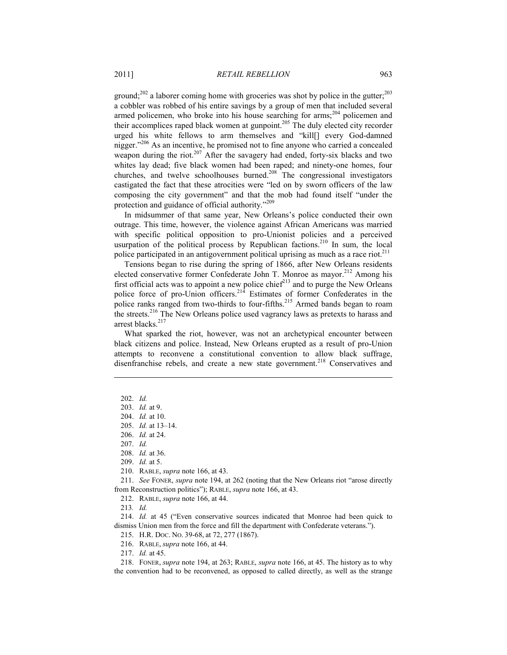ground;<sup>202</sup> a laborer coming home with groceries was shot by police in the gutter;<sup>203</sup> a cobbler was robbed of his entire savings by a group of men that included several armed policemen, who broke into his house searching for arms; $^{204}$  policemen and their accomplices raped black women at gunpoint.<sup>205</sup> The duly elected city recorder urged his white fellows to arm themselves and "kill[] every God-damned nigger."<sup>206</sup> As an incentive, he promised not to fine anyone who carried a concealed weapon during the riot.<sup>207</sup> After the savagery had ended, forty-six blacks and two whites lay dead; five black women had been raped; and ninety-one homes, four churches, and twelve schoolhouses burned.<sup>208</sup> The congressional investigators castigated the fact that these atrocities were "led on by sworn officers of the law composing the city government" and that the mob had found itself "under the protection and guidance of official authority."<sup>209</sup>

In midsummer of that same year, New Orleans's police conducted their own outrage. This time, however, the violence against African Americans was married with specific political opposition to pro-Unionist policies and a perceived usurpation of the political process by Republican factions.<sup>210</sup> In sum, the local police participated in an antigovernment political uprising as much as a race riot. $2^{11}$ 

Tensions began to rise during the spring of 1866, after New Orleans residents elected conservative former Confederate John T. Monroe as mayor.<sup>212</sup> Among his first official acts was to appoint a new police chief<sup>213</sup> and to purge the New Orleans police force of pro-Union officers.<sup>214</sup> Estimates of former Confederates in the police ranks ranged from two-thirds to four-fifths.<sup>215</sup> Armed bands began to roam the streets.<sup>216</sup> The New Orleans police used vagrancy laws as pretexts to harass and arrest blacks.<sup>217</sup>

What sparked the riot, however, was not an archetypical encounter between black citizens and police. Instead, New Orleans erupted as a result of pro-Union attempts to reconvene a constitutional convention to allow black suffrage, disenfranchise rebels, and create a new state government.<sup>218</sup> Conservatives and

1

212. RABLE, *supra* note 166, at 44.

213*. Id.*

 214. *Id.* at 45 ("Even conservative sources indicated that Monroe had been quick to dismiss Union men from the force and fill the department with Confederate veterans.").

215. H.R. DOC. NO. 39-68, at 72, 277 (1867).

216. RABLE, *supra* note 166, at 44.

217. *Id.* at 45.

 218. FONER, *supra* note 194, at 263; RABLE, *supra* note 166, at 45. The history as to why the convention had to be reconvened, as opposed to called directly, as well as the strange

 <sup>202.</sup> *Id.* 

 <sup>203.</sup> *Id.* at 9.

 <sup>204.</sup> *Id.* at 10.

 <sup>205.</sup> *Id.* at 13–14.

 <sup>206.</sup> *Id.* at 24.

 <sup>207.</sup> *Id.* 

 <sup>208.</sup> *Id.* at 36.

 <sup>209.</sup> *Id.* at 5.

 <sup>210.</sup> RABLE, *supra* note 166, at 43.

 <sup>211.</sup> *See* FONER, *supra* note 194, at 262 (noting that the New Orleans riot "arose directly from Reconstruction politics"); RABLE, *supra* note 166, at 43.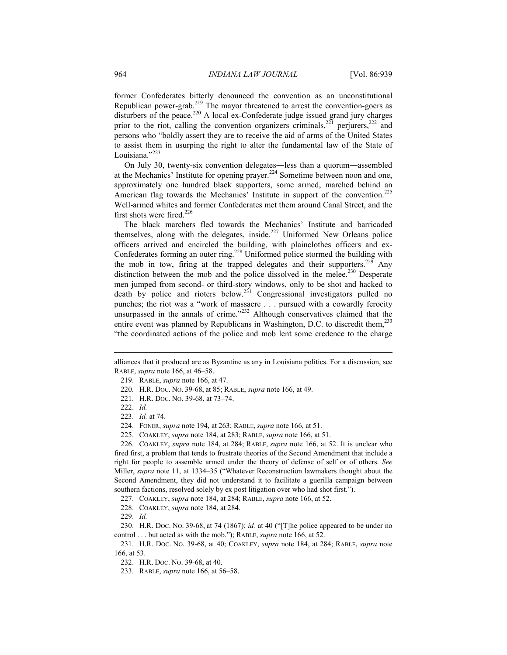former Confederates bitterly denounced the convention as an unconstitutional Republican power-grab.<sup>219</sup> The mayor threatened to arrest the convention-goers as disturbers of the peace.<sup>220</sup> A local ex-Confederate judge issued grand jury charges prior to the riot, calling the convention organizers criminals, $^{221}$  perjurers, $^{222}$  and persons who "boldly assert they are to receive the aid of arms of the United States to assist them in usurping the right to alter the fundamental law of the State of Louisiana."<sup>223</sup>

On July 30, twenty-six convention delegates―less than a quorum―assembled at the Mechanics' Institute for opening prayer.<sup>224</sup> Sometime between noon and one, approximately one hundred black supporters, some armed, marched behind an American flag towards the Mechanics' Institute in support of the convention.<sup>225</sup> Well-armed whites and former Confederates met them around Canal Street, and the first shots were fired.<sup>226</sup>

The black marchers fled towards the Mechanics' Institute and barricaded themselves, along with the delegates, inside.<sup>227</sup> Uniformed New Orleans police officers arrived and encircled the building, with plainclothes officers and ex-Confederates forming an outer ring.<sup>228</sup> Uniformed police stormed the building with the mob in tow, firing at the trapped delegates and their supporters.<sup>229</sup> Any distinction between the mob and the police dissolved in the melee.<sup>230</sup> Desperate men jumped from second- or third-story windows, only to be shot and hacked to death by police and rioters below.<sup>231</sup> Congressional investigators pulled no punches; the riot was a "work of massacre . . . pursued with a cowardly ferocity unsurpassed in the annals of crime."<sup>232</sup> Although conservatives claimed that the entire event was planned by Republicans in Washington, D.C. to discredit them, $^{233}$ "the coordinated actions of the police and mob lent some credence to the charge

- 220. H.R. DOC. NO. 39-68, at 85; RABLE, *supra* note 166, at 49.
- 221. H.R. DOC. NO. 39-68, at 73–74.
- 222. *Id.*

1

223. *Id.* at 74.

225. COAKLEY, *supra* note 184, at 283; RABLE, *supra* note 166, at 51.

 226. COAKLEY, *supra* note 184, at 284; RABLE, *supra* note 166, at 52. It is unclear who fired first, a problem that tends to frustrate theories of the Second Amendment that include a right for people to assemble armed under the theory of defense of self or of others. *See* Miller, *supra* note 11, at 1334–35 ("Whatever Reconstruction lawmakers thought about the Second Amendment, they did not understand it to facilitate a guerilla campaign between southern factions, resolved solely by ex post litigation over who had shot first.").

227. COAKLEY, *supra* note 184, at 284; RABLE, *supra* note 166, at 52.

228. COAKLEY, *supra* note 184, at 284.

229. *Id.*

 230. H.R. DOC. NO. 39-68, at 74 (1867); *id.* at 40 ("[T]he police appeared to be under no control . . . but acted as with the mob."); RABLE, *supra* note 166, at 52.

 231. H.R. DOC. NO. 39-68, at 40; COAKLEY, *supra* note 184, at 284; RABLE, *supra* note 166, at 53.

232. H.R. DOC. NO. 39-68, at 40.

233. RABLE, *supra* note 166, at 56–58.

alliances that it produced are as Byzantine as any in Louisiana politics. For a discussion, see RABLE, *supra* note 166, at 46–58.

 <sup>219.</sup> RABLE, *supra* note 166, at 47.

 <sup>224.</sup> FONER, *supra* note 194, at 263; RABLE, *supra* note 166, at 51.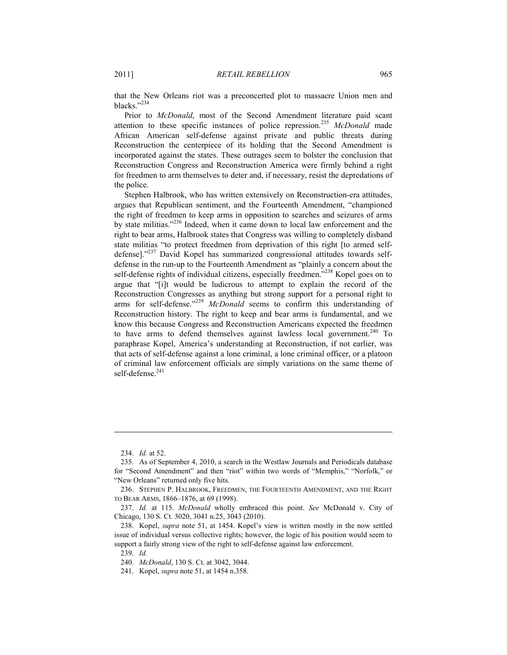that the New Orleans riot was a preconcerted plot to massacre Union men and blacks."234

Prior to *McDonald*, most of the Second Amendment literature paid scant attention to these specific instances of police repression.<sup>235</sup> *McDonald* made African American self-defense against private and public threats during Reconstruction the centerpiece of its holding that the Second Amendment is incorporated against the states. These outrages seem to bolster the conclusion that Reconstruction Congress and Reconstruction America were firmly behind a right for freedmen to arm themselves to deter and, if necessary, resist the depredations of the police.

Stephen Halbrook, who has written extensively on Reconstruction-era attitudes, argues that Republican sentiment, and the Fourteenth Amendment, "championed the right of freedmen to keep arms in opposition to searches and seizures of arms by state militias."236 Indeed, when it came down to local law enforcement and the right to bear arms, Halbrook states that Congress was willing to completely disband state militias "to protect freedmen from deprivation of this right [to armed selfdefense]."237 David Kopel has summarized congressional attitudes towards selfdefense in the run-up to the Fourteenth Amendment as "plainly a concern about the self-defense rights of individual citizens, especially freedmen."<sup>238</sup> Kopel goes on to argue that "[i]t would be ludicrous to attempt to explain the record of the Reconstruction Congresses as anything but strong support for a personal right to arms for self-defense."<sup>239</sup> *McDonald* seems to confirm this understanding of Reconstruction history. The right to keep and bear arms is fundamental, and we know this because Congress and Reconstruction Americans expected the freedmen to have arms to defend themselves against lawless local government. $240$  To paraphrase Kopel, America's understanding at Reconstruction, if not earlier, was that acts of self-defense against a lone criminal, a lone criminal officer, or a platoon of criminal law enforcement officials are simply variations on the same theme of self-defense.<sup>241</sup>

 <sup>234.</sup> *Id.* at 52.

 <sup>235.</sup> As of September 4, 2010, a search in the Westlaw Journals and Periodicals database for "Second Amendment" and then "riot" within two words of "Memphis," "Norfolk," or "New Orleans" returned only five hits.

 <sup>236.</sup> STEPHEN P. HALBROOK, FREEDMEN, THE FOURTEENTH AMENDMENT, AND THE RIGHT TO BEAR ARMS, 1866–1876, at 69 (1998).

 <sup>237.</sup> *Id.* at 115. *McDonald* wholly embraced this point. *See* McDonald v. City of Chicago, 130 S. Ct. 3020, 3041 n.25, 3043 (2010).

 <sup>238.</sup> Kopel, *supra* note 51, at 1454. Kopel's view is written mostly in the now settled issue of individual versus collective rights; however, the logic of his position would seem to support a fairly strong view of the right to self-defense against law enforcement.

 <sup>239.</sup> *Id.*

 <sup>240.</sup> *McDonald*, 130 S. Ct. at 3042, 3044.

 <sup>241.</sup> Kopel, *supra* note 51, at 1454 n.358.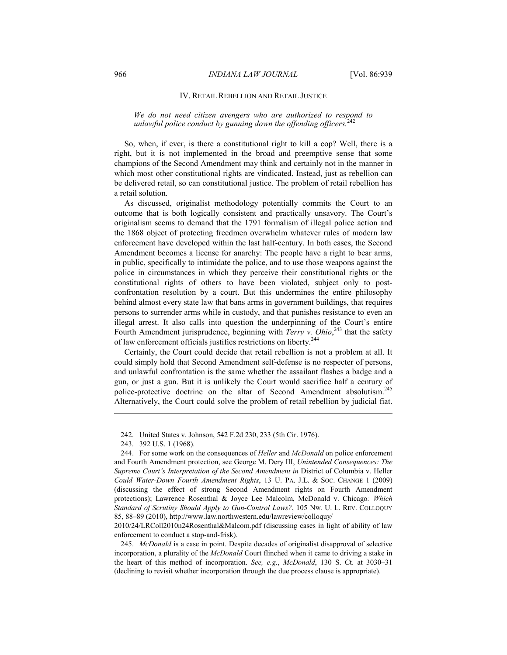#### IV. RETAIL REBELLION AND RETAIL JUSTICE

# *We do not need citizen avengers who are authorized to respond to unlawful police conduct by gunning down the offending officers.*<sup>242</sup>

So, when, if ever, is there a constitutional right to kill a cop? Well, there is a right, but it is not implemented in the broad and preemptive sense that some champions of the Second Amendment may think and certainly not in the manner in which most other constitutional rights are vindicated. Instead, just as rebellion can be delivered retail, so can constitutional justice. The problem of retail rebellion has a retail solution.

As discussed, originalist methodology potentially commits the Court to an outcome that is both logically consistent and practically unsavory. The Court's originalism seems to demand that the 1791 formalism of illegal police action and the 1868 object of protecting freedmen overwhelm whatever rules of modern law enforcement have developed within the last half-century. In both cases, the Second Amendment becomes a license for anarchy: The people have a right to bear arms, in public, specifically to intimidate the police, and to use those weapons against the police in circumstances in which they perceive their constitutional rights or the constitutional rights of others to have been violated, subject only to postconfrontation resolution by a court. But this undermines the entire philosophy behind almost every state law that bans arms in government buildings, that requires persons to surrender arms while in custody, and that punishes resistance to even an illegal arrest. It also calls into question the underpinning of the Court's entire Fourth Amendment jurisprudence, beginning with *Terry v. Ohio*,<sup>243</sup> that the safety of law enforcement officials justifies restrictions on liberty.244

Certainly, the Court could decide that retail rebellion is not a problem at all. It could simply hold that Second Amendment self-defense is no respecter of persons, and unlawful confrontation is the same whether the assailant flashes a badge and a gun, or just a gun. But it is unlikely the Court would sacrifice half a century of police-protective doctrine on the altar of Second Amendment absolutism.<sup>245</sup> Alternatively, the Court could solve the problem of retail rebellion by judicial fiat.

<u>.</u>

2010/24/LRColl2010n24Rosenthal&Malcom.pdf (discussing cases in light of ability of law enforcement to conduct a stop-and-frisk).

 245. *McDonald* is a case in point. Despite decades of originalist disapproval of selective incorporation, a plurality of the *McDonald* Court flinched when it came to driving a stake in the heart of this method of incorporation. *See, e.g.*, *McDonald*, 130 S. Ct. at 3030–31 (declining to revisit whether incorporation through the due process clause is appropriate).

 <sup>242.</sup> United States v. Johnson, 542 F.2d 230, 233 (5th Cir. 1976).

 <sup>243. 392</sup> U.S. 1 (1968).

 <sup>244.</sup> For some work on the consequences of *Heller* and *McDonald* on police enforcement and Fourth Amendment protection, see George M. Dery III, *Unintended Consequences: The Supreme Court's Interpretation of the Second Amendment in District of Columbia v. Heller Could Water-Down Fourth Amendment Rights*, 13 U. PA. J.L. & SOC. CHANGE 1 (2009) (discussing the effect of strong Second Amendment rights on Fourth Amendment protections); Lawrence Rosenthal & Joyce Lee Malcolm, McDonald v. Chicago*: Which Standard of Scrutiny Should Apply to Gun-Control Laws?*, 105 NW. U. L. REV. COLLOQUY 85, 88–89 (2010), http://www.law.northwestern.edu/lawreview/colloquy/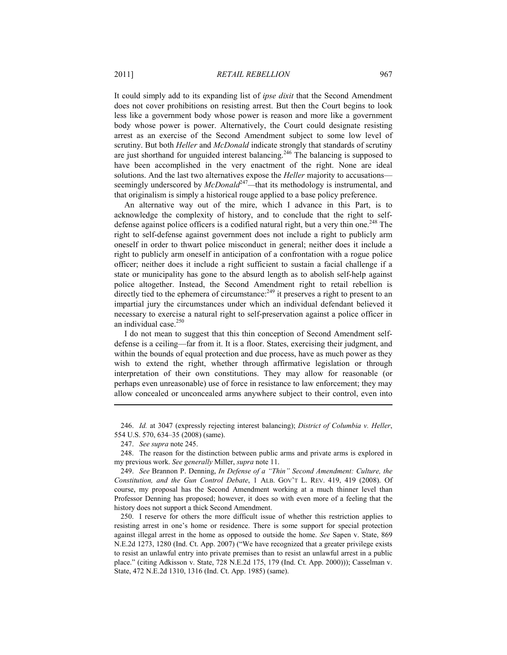It could simply add to its expanding list of *ipse dixit* that the Second Amendment does not cover prohibitions on resisting arrest. But then the Court begins to look less like a government body whose power is reason and more like a government body whose power is power. Alternatively, the Court could designate resisting arrest as an exercise of the Second Amendment subject to some low level of scrutiny. But both *Heller* and *McDonald* indicate strongly that standards of scrutiny are just shorthand for unguided interest balancing.<sup>246</sup> The balancing is supposed to have been accomplished in the very enactment of the right. None are ideal solutions. And the last two alternatives expose the *Heller* majority to accusations seemingly underscored by *McDonald*<sup>247</sup>—that its methodology is instrumental, and that originalism is simply a historical rouge applied to a base policy preference.

An alternative way out of the mire, which I advance in this Part, is to acknowledge the complexity of history, and to conclude that the right to selfdefense against police officers is a codified natural right, but a very thin one.<sup>248</sup> The right to self-defense against government does not include a right to publicly arm oneself in order to thwart police misconduct in general; neither does it include a right to publicly arm oneself in anticipation of a confrontation with a rogue police officer; neither does it include a right sufficient to sustain a facial challenge if a state or municipality has gone to the absurd length as to abolish self-help against police altogether. Instead, the Second Amendment right to retail rebellion is directly tied to the ephemera of circumstance: $^{249}$  it preserves a right to present to an impartial jury the circumstances under which an individual defendant believed it necessary to exercise a natural right to self-preservation against a police officer in an individual case.<sup>250</sup>

I do not mean to suggest that this thin conception of Second Amendment selfdefense is a ceiling—far from it. It is a floor. States, exercising their judgment, and within the bounds of equal protection and due process, have as much power as they wish to extend the right, whether through affirmative legislation or through interpretation of their own constitutions. They may allow for reasonable (or perhaps even unreasonable) use of force in resistance to law enforcement; they may allow concealed or unconcealed arms anywhere subject to their control, even into

 246. *Id.* at 3047 (expressly rejecting interest balancing); *District of Columbia v. Heller*, 554 U.S. 570, 634–35 (2008) (same).

1

 250. I reserve for others the more difficult issue of whether this restriction applies to resisting arrest in one's home or residence. There is some support for special protection against illegal arrest in the home as opposed to outside the home. *See* Sapen v. State, 869 N.E.2d 1273, 1280 (Ind. Ct. App. 2007) ("We have recognized that a greater privilege exists to resist an unlawful entry into private premises than to resist an unlawful arrest in a public place." (citing Adkisson v. State, 728 N.E.2d 175, 179 (Ind. Ct. App. 2000))); Casselman v. State, 472 N.E.2d 1310, 1316 (Ind. Ct. App. 1985) (same).

 <sup>247.</sup> *See supra* note 245.

 <sup>248.</sup> The reason for the distinction between public arms and private arms is explored in my previous work. *See generally* Miller, *supra* note 11.

 <sup>249.</sup> *See* Brannon P. Denning, *In Defense of a "Thin" Second Amendment: Culture, the Constitution, and the Gun Control Debate*, 1 ALB. GOV'T L. REV. 419, 419 (2008). Of course, my proposal has the Second Amendment working at a much thinner level than Professor Denning has proposed; however, it does so with even more of a feeling that the history does not support a thick Second Amendment.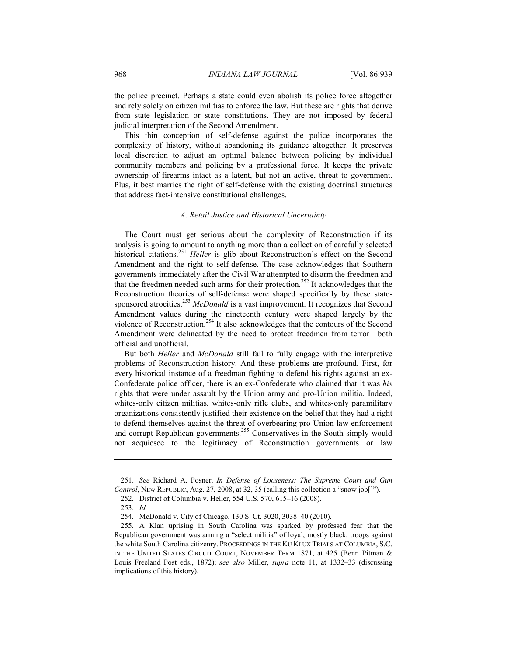the police precinct. Perhaps a state could even abolish its police force altogether and rely solely on citizen militias to enforce the law. But these are rights that derive from state legislation or state constitutions. They are not imposed by federal judicial interpretation of the Second Amendment.

This thin conception of self-defense against the police incorporates the complexity of history, without abandoning its guidance altogether. It preserves local discretion to adjust an optimal balance between policing by individual community members and policing by a professional force. It keeps the private ownership of firearms intact as a latent, but not an active, threat to government. Plus, it best marries the right of self-defense with the existing doctrinal structures that address fact-intensive constitutional challenges.

#### *A. Retail Justice and Historical Uncertainty*

The Court must get serious about the complexity of Reconstruction if its analysis is going to amount to anything more than a collection of carefully selected historical citations.<sup>251</sup> *Heller* is glib about Reconstruction's effect on the Second Amendment and the right to self-defense. The case acknowledges that Southern governments immediately after the Civil War attempted to disarm the freedmen and that the freedmen needed such arms for their protection.<sup>252</sup> It acknowledges that the Reconstruction theories of self-defense were shaped specifically by these statesponsored atrocities.<sup>253</sup> *McDonald* is a vast improvement. It recognizes that Second Amendment values during the nineteenth century were shaped largely by the violence of Reconstruction.<sup>254</sup> It also acknowledges that the contours of the Second Amendment were delineated by the need to protect freedmen from terror—both official and unofficial.

But both *Heller* and *McDonald* still fail to fully engage with the interpretive problems of Reconstruction history. And these problems are profound. First, for every historical instance of a freedman fighting to defend his rights against an ex-Confederate police officer, there is an ex-Confederate who claimed that it was *his* rights that were under assault by the Union army and pro-Union militia. Indeed, whites-only citizen militias, whites-only rifle clubs, and whites-only paramilitary organizations consistently justified their existence on the belief that they had a right to defend themselves against the threat of overbearing pro-Union law enforcement and corrupt Republican governments.<sup>255</sup> Conservatives in the South simply would not acquiesce to the legitimacy of Reconstruction governments or law

 <sup>251.</sup> *See* Richard A. Posner, *In Defense of Looseness: The Supreme Court and Gun Control*, NEW REPUBLIC, Aug. 27, 2008, at 32, 35 (calling this collection a "snow job[]").

 <sup>252.</sup> District of Columbia v. Heller, 554 U.S. 570, 615–16 (2008).

 <sup>253.</sup> *Id.*

 <sup>254.</sup> McDonald v. City of Chicago, 130 S. Ct. 3020, 3038–40 (2010).

 <sup>255.</sup> A Klan uprising in South Carolina was sparked by professed fear that the Republican government was arming a "select militia" of loyal, mostly black, troops against the white South Carolina citizenry. PROCEEDINGS IN THE KU KLUX TRIALS AT COLUMBIA, S.C. IN THE UNITED STATES CIRCUIT COURT, NOVEMBER TERM 1871, at 425 (Benn Pitman & Louis Freeland Post eds., 1872); *see also* Miller, *supra* note 11, at 1332–33 (discussing implications of this history).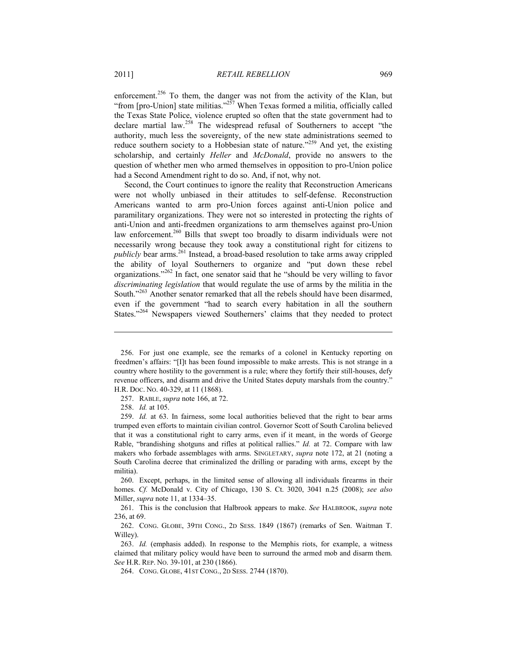enforcement.<sup>256</sup> To them, the danger was not from the activity of the Klan, but "from [pro-Union] state militias."<sup>257</sup> When Texas formed a militia, officially called the Texas State Police, violence erupted so often that the state government had to declare martial law.<sup>258</sup> The widespread refusal of Southerners to accept "the authority, much less the sovereignty, of the new state administrations seemed to reduce southern society to a Hobbesian state of nature."<sup>259</sup> And yet, the existing scholarship, and certainly *Heller* and *McDonald*, provide no answers to the question of whether men who armed themselves in opposition to pro-Union police had a Second Amendment right to do so. And, if not, why not.

Second, the Court continues to ignore the reality that Reconstruction Americans were not wholly unbiased in their attitudes to self-defense. Reconstruction Americans wanted to arm pro-Union forces against anti-Union police and paramilitary organizations. They were not so interested in protecting the rights of anti-Union and anti-freedmen organizations to arm themselves against pro-Union law enforcement.<sup>260</sup> Bills that swept too broadly to disarm individuals were not necessarily wrong because they took away a constitutional right for citizens to *publicly* bear arms.<sup>261</sup> Instead, a broad-based resolution to take arms away crippled the ability of loyal Southerners to organize and "put down these rebel organizations."262 In fact, one senator said that he "should be very willing to favor *discriminating legislation* that would regulate the use of arms by the militia in the South."<sup>263</sup> Another senator remarked that all the rebels should have been disarmed, even if the government "had to search every habitation in all the southern States."<sup>264</sup> Newspapers viewed Southerners' claims that they needed to protect

<u>.</u>

 <sup>256.</sup> For just one example, see the remarks of a colonel in Kentucky reporting on freedmen's affairs: "[I]t has been found impossible to make arrests. This is not strange in a country where hostility to the government is a rule; where they fortify their still-houses, defy revenue officers, and disarm and drive the United States deputy marshals from the country." H.R. DOC. NO. 40-329, at 11 (1868).

 <sup>257.</sup> RABLE, *supra* note 166, at 72.

 <sup>258.</sup> *Id.* at 105.

 <sup>259.</sup> *Id.* at 63. In fairness, some local authorities believed that the right to bear arms trumped even efforts to maintain civilian control. Governor Scott of South Carolina believed that it was a constitutional right to carry arms, even if it meant, in the words of George Rable, "brandishing shotguns and rifles at political rallies." *Id.* at 72. Compare with law makers who forbade assemblages with arms. SINGLETARY, *supra* note 172, at 21 (noting a South Carolina decree that criminalized the drilling or parading with arms, except by the militia).

 <sup>260.</sup> Except, perhaps, in the limited sense of allowing all individuals firearms in their homes. *Cf.* McDonald v. City of Chicago, 130 S. Ct. 3020, 3041 n.25 (2008); *see also*  Miller, *supra* note 11, at 1334–35.

 <sup>261.</sup> This is the conclusion that Halbrook appears to make. *See* HALBROOK, *supra* note 236, at 69.

 <sup>262.</sup> CONG. GLOBE, 39TH CONG., 2D SESS. 1849 (1867) (remarks of Sen. Waitman T. Willey).

 <sup>263.</sup> *Id.* (emphasis added). In response to the Memphis riots, for example, a witness claimed that military policy would have been to surround the armed mob and disarm them. *See* H.R. REP. NO. 39-101, at 230 (1866).

 <sup>264.</sup> CONG. GLOBE, 41ST CONG., 2D SESS. 2744 (1870).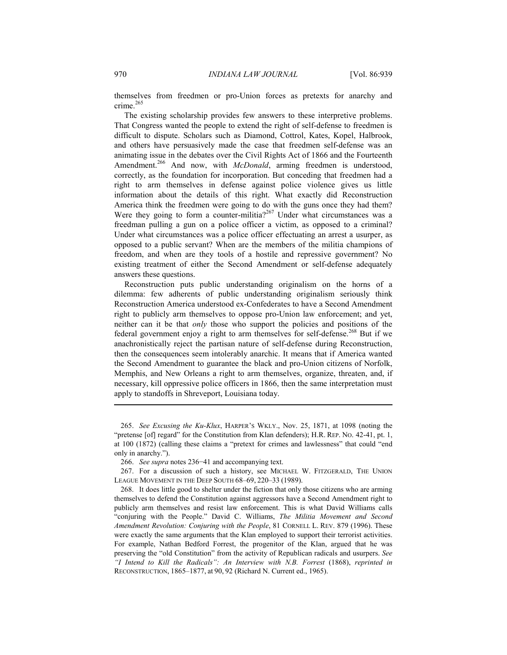themselves from freedmen or pro-Union forces as pretexts for anarchy and crime.<sup>265</sup>

The existing scholarship provides few answers to these interpretive problems. That Congress wanted the people to extend the right of self-defense to freedmen is difficult to dispute. Scholars such as Diamond, Cottrol, Kates, Kopel, Halbrook, and others have persuasively made the case that freedmen self-defense was an animating issue in the debates over the Civil Rights Act of 1866 and the Fourteenth Amendment.<sup>266</sup> And now, with *McDonald*, arming freedmen is understood, correctly, as the foundation for incorporation. But conceding that freedmen had a right to arm themselves in defense against police violence gives us little information about the details of this right. What exactly did Reconstruction America think the freedmen were going to do with the guns once they had them? Were they going to form a counter-militia?<sup>267</sup> Under what circumstances was a freedman pulling a gun on a police officer a victim, as opposed to a criminal? Under what circumstances was a police officer effectuating an arrest a usurper, as opposed to a public servant? When are the members of the militia champions of freedom, and when are they tools of a hostile and repressive government? No existing treatment of either the Second Amendment or self-defense adequately answers these questions.

Reconstruction puts public understanding originalism on the horns of a dilemma: few adherents of public understanding originalism seriously think Reconstruction America understood ex-Confederates to have a Second Amendment right to publicly arm themselves to oppose pro-Union law enforcement; and yet, neither can it be that *only* those who support the policies and positions of the federal government enjoy a right to arm themselves for self-defense.<sup>268</sup> But if we anachronistically reject the partisan nature of self-defense during Reconstruction, then the consequences seem intolerably anarchic. It means that if America wanted the Second Amendment to guarantee the black and pro-Union citizens of Norfolk, Memphis, and New Orleans a right to arm themselves, organize, threaten, and, if necessary, kill oppressive police officers in 1866, then the same interpretation must apply to standoffs in Shreveport, Louisiana today.

 <sup>265.</sup> *See Excusing the Ku-Klux*, HARPER'S WKLY., Nov. 25, 1871, at 1098 (noting the "pretense [of] regard" for the Constitution from Klan defenders); H.R. REP. NO. 42-41, pt. 1, at 100 (1872) (calling these claims a "pretext for crimes and lawlessness" that could "end only in anarchy.").

 <sup>266.</sup> *See supra* notes 236−41 and accompanying text.

 <sup>267.</sup> For a discussion of such a history, see MICHAEL W. FITZGERALD, THE UNION LEAGUE MOVEMENT IN THE DEEP SOUTH 68–69, 220–33 (1989).

 <sup>268.</sup> It does little good to shelter under the fiction that only those citizens who are arming themselves to defend the Constitution against aggressors have a Second Amendment right to publicly arm themselves and resist law enforcement. This is what David Williams calls "conjuring with the People." David C. Williams, *The Militia Movement and Second Amendment Revolution: Conjuring with the People*, 81 CORNELL L. REV. 879 (1996). These were exactly the same arguments that the Klan employed to support their terrorist activities. For example, Nathan Bedford Forrest, the progenitor of the Klan, argued that he was preserving the "old Constitution" from the activity of Republican radicals and usurpers. *See "I Intend to Kill the Radicals": An Interview with N.B. Forrest* (1868), *reprinted in*  RECONSTRUCTION, 1865–1877, at 90, 92 (Richard N. Current ed., 1965).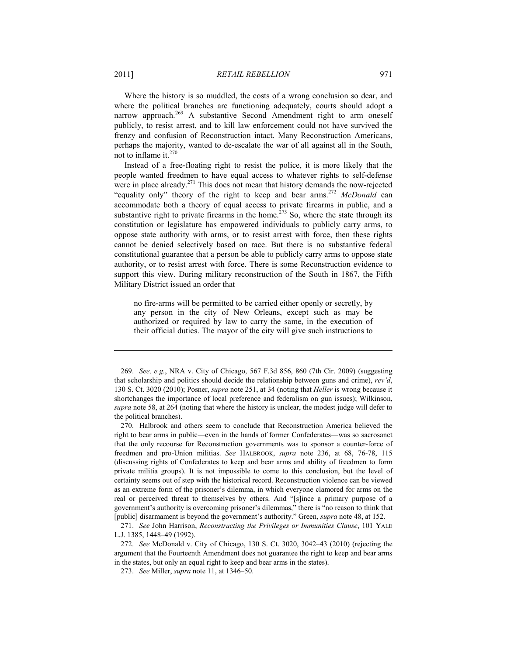Where the history is so muddled, the costs of a wrong conclusion so dear, and where the political branches are functioning adequately, courts should adopt a narrow approach.<sup>269</sup> A substantive Second Amendment right to arm oneself publicly, to resist arrest, and to kill law enforcement could not have survived the frenzy and confusion of Reconstruction intact. Many Reconstruction Americans, perhaps the majority, wanted to de-escalate the war of all against all in the South, not to inflame it. $270$ 

Instead of a free-floating right to resist the police, it is more likely that the people wanted freedmen to have equal access to whatever rights to self-defense were in place already.<sup>271</sup> This does not mean that history demands the now-rejected "equality only" theory of the right to keep and bear arms.<sup>272</sup> McDonald can accommodate both a theory of equal access to private firearms in public, and a substantive right to private firearms in the home.<sup> $273$ </sup> So, where the state through its constitution or legislature has empowered individuals to publicly carry arms, to oppose state authority with arms, or to resist arrest with force, then these rights cannot be denied selectively based on race. But there is no substantive federal constitutional guarantee that a person be able to publicly carry arms to oppose state authority, or to resist arrest with force. There is some Reconstruction evidence to support this view. During military reconstruction of the South in 1867, the Fifth Military District issued an order that

no fire-arms will be permitted to be carried either openly or secretly, by any person in the city of New Orleans, except such as may be authorized or required by law to carry the same, in the execution of their official duties. The mayor of the city will give such instructions to

 <sup>269.</sup> *See, e.g.*, NRA v. City of Chicago, 567 F.3d 856, 860 (7th Cir. 2009) (suggesting that scholarship and politics should decide the relationship between guns and crime), *rev'd*, 130 S. Ct. 3020 (2010); Posner, *supra* note 251, at 34 (noting that *Heller* is wrong because it shortchanges the importance of local preference and federalism on gun issues); Wilkinson, *supra* note 58, at 264 (noting that where the history is unclear, the modest judge will defer to the political branches).

 <sup>270.</sup> Halbrook and others seem to conclude that Reconstruction America believed the right to bear arms in public―even in the hands of former Confederates―was so sacrosanct that the only recourse for Reconstruction governments was to sponsor a counter-force of freedmen and pro-Union militias. *See* HALBROOK, *supra* note 236, at 68, 76-78, 115 (discussing rights of Confederates to keep and bear arms and ability of freedmen to form private militia groups). It is not impossible to come to this conclusion, but the level of certainty seems out of step with the historical record. Reconstruction violence can be viewed as an extreme form of the prisoner's dilemma, in which everyone clamored for arms on the real or perceived threat to themselves by others. And "[s]ince a primary purpose of a government's authority is overcoming prisoner's dilemmas," there is "no reason to think that [public] disarmament is beyond the government's authority." Green, *supra* note 48, at 152.

 <sup>271.</sup> *See* John Harrison, *Reconstructing the Privileges or Immunities Clause*, 101 YALE L.J. 1385, 1448–49 (1992).

 <sup>272.</sup> *See* McDonald v. City of Chicago, 130 S. Ct. 3020, 3042–43 (2010) (rejecting the argument that the Fourteenth Amendment does not guarantee the right to keep and bear arms in the states, but only an equal right to keep and bear arms in the states).

 <sup>273.</sup> *See* Miller, *supra* note 11, at 1346–50.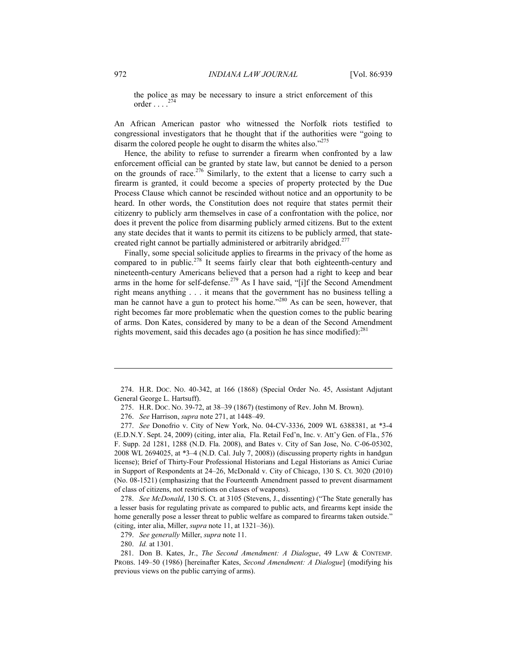the police as may be necessary to insure a strict enforcement of this order  $\ldots$  .  $^{274}$ 

An African American pastor who witnessed the Norfolk riots testified to congressional investigators that he thought that if the authorities were "going to disarm the colored people he ought to disarm the whites also."<sup>275</sup>

Hence, the ability to refuse to surrender a firearm when confronted by a law enforcement official can be granted by state law, but cannot be denied to a person on the grounds of race.<sup>276</sup> Similarly, to the extent that a license to carry such a firearm is granted, it could become a species of property protected by the Due Process Clause which cannot be rescinded without notice and an opportunity to be heard. In other words, the Constitution does not require that states permit their citizenry to publicly arm themselves in case of a confrontation with the police, nor does it prevent the police from disarming publicly armed citizens. But to the extent any state decides that it wants to permit its citizens to be publicly armed, that statecreated right cannot be partially administered or arbitrarily abridged.<sup>277</sup>

Finally, some special solicitude applies to firearms in the privacy of the home as compared to in public.<sup>278</sup> It seems fairly clear that both eighteenth-century and nineteenth-century Americans believed that a person had a right to keep and bear arms in the home for self-defense.<sup>279</sup> As I have said, "[i]f the Second Amendment right means anything . . . it means that the government has no business telling a man he cannot have a gun to protect his home."<sup>280</sup> As can be seen, however, that right becomes far more problematic when the question comes to the public bearing of arms. Don Kates, considered by many to be a dean of the Second Amendment rights movement, said this decades ago (a position he has since modified).<sup>281</sup>

 278. *See McDonald*, 130 S. Ct. at 3105 (Stevens, J., dissenting) ("The State generally has a lesser basis for regulating private as compared to public acts, and firearms kept inside the home generally pose a lesser threat to public welfare as compared to firearms taken outside." (citing, inter alia, Miller, *supra* note 11, at 1321–36)).

279. *See generally* Miller, *supra* note 11.

280. *Id.* at 1301.

 <sup>274.</sup> H.R. DOC. NO. 40-342, at 166 (1868) (Special Order No. 45, Assistant Adjutant General George L. Hartsuff).

 <sup>275.</sup> H.R. DOC. NO. 39-72, at 38–39 (1867) (testimony of Rev. John M. Brown).

 <sup>276.</sup> *See* Harrison, *supra* note 271, at 1448–49.

 <sup>277.</sup> *See* Donofrio v. City of New York, No. 04-CV-3336, 2009 WL 6388381, at \*3-4 (E.D.N.Y. Sept. 24, 2009) (citing, inter alia, Fla. Retail Fed'n, Inc. v. Att'y Gen. of Fla., 576 F. Supp. 2d 1281, 1288 (N.D. Fla. 2008), and Bates v. City of San Jose, No. C-06-05302, 2008 WL 2694025, at \*3–4 (N.D. Cal. July 7, 2008)) (discussing property rights in handgun license); Brief of Thirty-Four Professional Historians and Legal Historians as Amici Curiae in Support of Respondents at 24–26, McDonald v. City of Chicago, 130 S. Ct. 3020 (2010) (No. 08-1521) (emphasizing that the Fourteenth Amendment passed to prevent disarmament of class of citizens, not restrictions on classes of weapons).

 <sup>281.</sup> Don B. Kates, Jr., *The Second Amendment: A Dialogue*, 49 LAW & CONTEMP. PROBS. 149–50 (1986) [hereinafter Kates, *Second Amendment: A Dialogue*] (modifying his previous views on the public carrying of arms).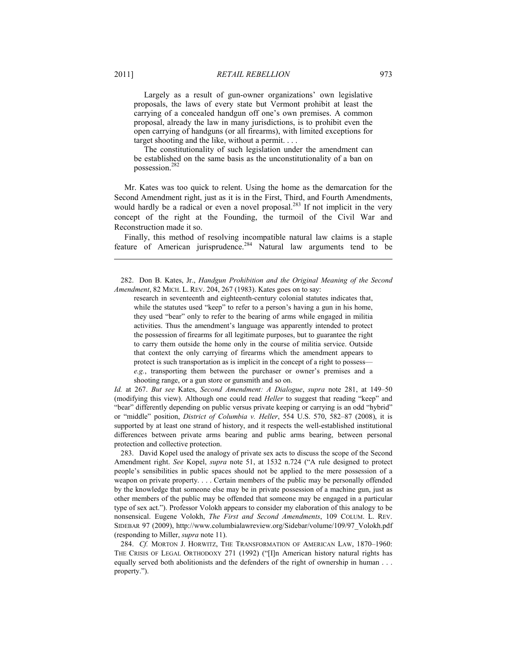Largely as a result of gun-owner organizations' own legislative proposals, the laws of every state but Vermont prohibit at least the carrying of a concealed handgun off one's own premises. A common proposal, already the law in many jurisdictions, is to prohibit even the open carrying of handguns (or all firearms), with limited exceptions for target shooting and the like, without a permit. . . .

 The constitutionality of such legislation under the amendment can be established on the same basis as the unconstitutionality of a ban on possession.<sup>282</sup>

Mr. Kates was too quick to relent. Using the home as the demarcation for the Second Amendment right, just as it is in the First, Third, and Fourth Amendments, would hardly be a radical or even a novel proposal.<sup>283</sup> If not implicit in the very concept of the right at the Founding, the turmoil of the Civil War and Reconstruction made it so.

Finally, this method of resolving incompatible natural law claims is a staple feature of American jurisprudence.<sup>284</sup> Natural law arguments tend to be

 282. Don B. Kates, Jr., *Handgun Prohibition and the Original Meaning of the Second Amendment*, 82 MICH. L. REV. 204, 267 (1983). Kates goes on to say:

research in seventeenth and eighteenth-century colonial statutes indicates that, while the statutes used "keep" to refer to a person's having a gun in his home, they used "bear" only to refer to the bearing of arms while engaged in militia activities. Thus the amendment's language was apparently intended to protect the possession of firearms for all legitimate purposes, but to guarantee the right to carry them outside the home only in the course of militia service. Outside that context the only carrying of firearms which the amendment appears to protect is such transportation as is implicit in the concept of a right to possess *e.g.*, transporting them between the purchaser or owner's premises and a shooting range, or a gun store or gunsmith and so on.

*Id.* at 267. *But see* Kates, *Second Amendment: A Dialogue*, *supra* note 281, at 149–50 (modifying this view). Although one could read *Heller* to suggest that reading "keep" and "bear" differently depending on public versus private keeping or carrying is an odd "hybrid" or "middle" position, *District of Columbia v. Heller*, 554 U.S. 570, 582–87 (2008), it is supported by at least one strand of history, and it respects the well-established institutional differences between private arms bearing and public arms bearing, between personal protection and collective protection.

 283. David Kopel used the analogy of private sex acts to discuss the scope of the Second Amendment right. *See* Kopel, *supra* note 51, at 1532 n.724 ("A rule designed to protect people's sensibilities in public spaces should not be applied to the mere possession of a weapon on private property. . . . Certain members of the public may be personally offended by the knowledge that someone else may be in private possession of a machine gun, just as other members of the public may be offended that someone may be engaged in a particular type of sex act."). Professor Volokh appears to consider my elaboration of this analogy to be nonsensical. Eugene Volokh, *The First and Second Amendments*, 109 COLUM. L. REV. SIDEBAR 97 (2009), http://www.columbialawreview.org/Sidebar/volume/109/97\_Volokh.pdf (responding to Miller, *supra* note 11).

 284. *Cf.* MORTON J. HORWITZ, THE TRANSFORMATION OF AMERICAN LAW, 1870–1960: THE CRISIS OF LEGAL ORTHODOXY 271 (1992) ("[I]n American history natural rights has equally served both abolitionists and the defenders of the right of ownership in human . . . property.").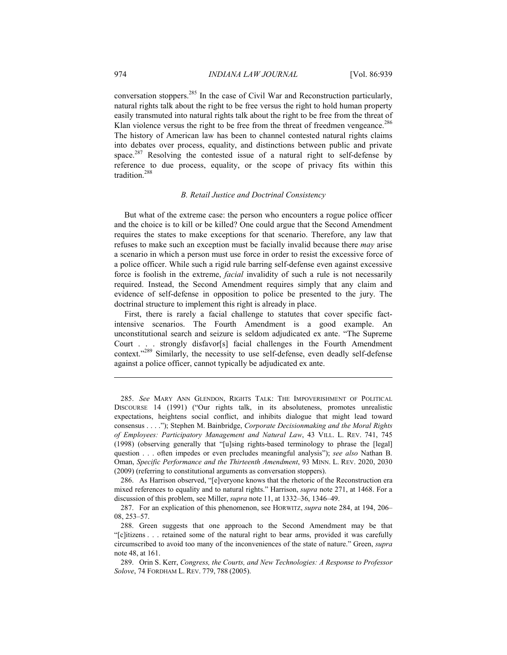conversation stoppers.285 In the case of Civil War and Reconstruction particularly, natural rights talk about the right to be free versus the right to hold human property easily transmuted into natural rights talk about the right to be free from the threat of Klan violence versus the right to be free from the threat of freedmen vengeance.<sup>286</sup> The history of American law has been to channel contested natural rights claims into debates over process, equality, and distinctions between public and private space.<sup>287</sup> Resolving the contested issue of a natural right to self-defense by reference to due process, equality, or the scope of privacy fits within this tradition.288

# *B. Retail Justice and Doctrinal Consistency*

But what of the extreme case: the person who encounters a rogue police officer and the choice is to kill or be killed? One could argue that the Second Amendment requires the states to make exceptions for that scenario. Therefore, any law that refuses to make such an exception must be facially invalid because there *may* arise a scenario in which a person must use force in order to resist the excessive force of a police officer. While such a rigid rule barring self-defense even against excessive force is foolish in the extreme, *facial* invalidity of such a rule is not necessarily required. Instead, the Second Amendment requires simply that any claim and evidence of self-defense in opposition to police be presented to the jury. The doctrinal structure to implement this right is already in place.

First, there is rarely a facial challenge to statutes that cover specific factintensive scenarios. The Fourth Amendment is a good example. An unconstitutional search and seizure is seldom adjudicated ex ante. "The Supreme Court . . . strongly disfavor[s] facial challenges in the Fourth Amendment context."<sup>289</sup> Similarly, the necessity to use self-defense, even deadly self-defense against a police officer, cannot typically be adjudicated ex ante.

 <sup>285.</sup> *See* MARY ANN GLENDON, RIGHTS TALK: THE IMPOVERISHMENT OF POLITICAL DISCOURSE 14 (1991) ("Our rights talk, in its absoluteness, promotes unrealistic expectations, heightens social conflict, and inhibits dialogue that might lead toward consensus . . . ."); Stephen M. Bainbridge, *Corporate Decisionmaking and the Moral Rights of Employees: Participatory Management and Natural Law*, 43 VILL. L. REV. 741, 745 (1998) (observing generally that "[u]sing rights-based terminology to phrase the [legal] question . . . often impedes or even precludes meaningful analysis"); *see also* Nathan B. Oman, *Specific Performance and the Thirteenth Amendment*, 93 MINN. L. REV. 2020, 2030 (2009) (referring to constitutional arguments as conversation stoppers).

 <sup>286.</sup> As Harrison observed, "[e]veryone knows that the rhetoric of the Reconstruction era mixed references to equality and to natural rights." Harrison, *supra* note 271, at 1468. For a discussion of this problem, see Miller, *supra* note 11, at 1332–36, 1346–49.

 <sup>287.</sup> For an explication of this phenomenon, see HORWITZ, *supra* note 284, at 194, 206– 08, 253–57.

 <sup>288.</sup> Green suggests that one approach to the Second Amendment may be that "[c]itizens . . . retained some of the natural right to bear arms, provided it was carefully circumscribed to avoid too many of the inconveniences of the state of nature." Green, *supra*  note 48, at 161.

 <sup>289.</sup> Orin S. Kerr, *Congress, the Courts, and New Technologies: A Response to Professor Solove*, 74 FORDHAM L. REV. 779, 788 (2005).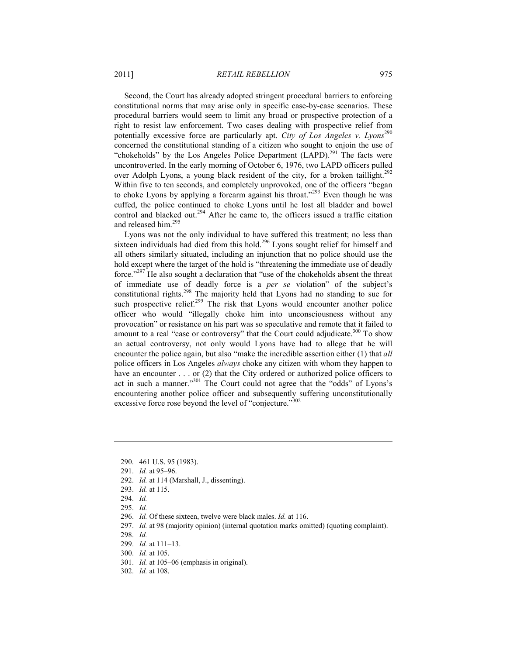Second, the Court has already adopted stringent procedural barriers to enforcing constitutional norms that may arise only in specific case-by-case scenarios. These procedural barriers would seem to limit any broad or prospective protection of a right to resist law enforcement. Two cases dealing with prospective relief from potentially excessive force are particularly apt. *City of Los Angeles v. Lyons*<sup>290</sup> concerned the constitutional standing of a citizen who sought to enjoin the use of "chokeholds" by the Los Angeles Police Department  $(LAPD)$ <sup>291</sup>. The facts were uncontroverted. In the early morning of October 6, 1976, two LAPD officers pulled over Adolph Lyons, a young black resident of the city, for a broken taillight.<sup>292</sup> Within five to ten seconds, and completely unprovoked, one of the officers "began to choke Lyons by applying a forearm against his throat."<sup>293</sup> Even though he was cuffed, the police continued to choke Lyons until he lost all bladder and bowel control and blacked out.<sup>294</sup> After he came to, the officers issued a traffic citation and released him.295

Lyons was not the only individual to have suffered this treatment; no less than sixteen individuals had died from this hold.<sup>296</sup> Lyons sought relief for himself and all others similarly situated, including an injunction that no police should use the hold except where the target of the hold is "threatening the immediate use of deadly force."297 He also sought a declaration that "use of the chokeholds absent the threat of immediate use of deadly force is a *per se* violation" of the subject's constitutional rights.298 The majority held that Lyons had no standing to sue for such prospective relief.<sup>299</sup> The risk that Lyons would encounter another police officer who would "illegally choke him into unconsciousness without any provocation" or resistance on his part was so speculative and remote that it failed to amount to a real "case or controversy" that the Court could adjudicate.<sup>300</sup> To show an actual controversy, not only would Lyons have had to allege that he will encounter the police again, but also "make the incredible assertion either (1) that *all* police officers in Los Angeles *always* choke any citizen with whom they happen to have an encounter . . . or (2) that the City ordered or authorized police officers to act in such a manner."301 The Court could not agree that the "odds" of Lyons's encountering another police officer and subsequently suffering unconstitutionally excessive force rose beyond the level of "conjecture."<sup>302</sup>

292. *Id.* at 114 (Marshall, J., dissenting).

<u>.</u>

- 301. *Id.* at 105–06 (emphasis in original).
- 302. *Id.* at 108.

 <sup>290. 461</sup> U.S. 95 (1983).

 <sup>291.</sup> *Id.* at 95–96.

 <sup>293.</sup> *Id.* at 115.

 <sup>294.</sup> *Id.* 

 <sup>295.</sup> *Id.* 

 <sup>296.</sup> *Id.* Of these sixteen, twelve were black males. *Id.* at 116.

 <sup>297.</sup> *Id.* at 98 (majority opinion) (internal quotation marks omitted) (quoting complaint).

 <sup>298.</sup> *Id.*

 <sup>299.</sup> *Id.* at 111–13.

 <sup>300.</sup> *Id.* at 105.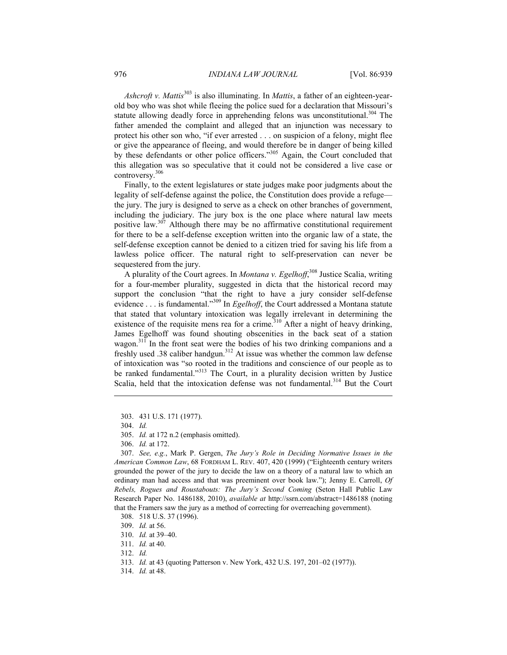*Ashcroft v. Mattis*303 is also illuminating. In *Mattis*, a father of an eighteen-yearold boy who was shot while fleeing the police sued for a declaration that Missouri's statute allowing deadly force in apprehending felons was unconstitutional.<sup>304</sup> The father amended the complaint and alleged that an injunction was necessary to protect his other son who, "if ever arrested . . . on suspicion of a felony, might flee or give the appearance of fleeing, and would therefore be in danger of being killed by these defendants or other police officers."<sup>305</sup> Again, the Court concluded that this allegation was so speculative that it could not be considered a live case or controversy.306

Finally, to the extent legislatures or state judges make poor judgments about the legality of self-defense against the police, the Constitution does provide a refuge the jury. The jury is designed to serve as a check on other branches of government, including the judiciary. The jury box is the one place where natural law meets positive law.<sup>307</sup> Although there may be no affirmative constitutional requirement for there to be a self-defense exception written into the organic law of a state, the self-defense exception cannot be denied to a citizen tried for saving his life from a lawless police officer. The natural right to self-preservation can never be sequestered from the jury.

A plurality of the Court agrees. In *Montana v. Egelhoff*, 308 Justice Scalia, writing for a four-member plurality, suggested in dicta that the historical record may support the conclusion "that the right to have a jury consider self-defense evidence . . . is fundamental.<sup>3309</sup> In *Egelhoff*, the Court addressed a Montana statute that stated that voluntary intoxication was legally irrelevant in determining the existence of the requisite mens rea for a crime.<sup>310</sup> After a night of heavy drinking, James Egelhoff was found shouting obscenities in the back seat of a station wagon.<sup>311</sup> In the front seat were the bodies of his two drinking companions and a freshly used .38 caliber handgun.<sup>312</sup> At issue was whether the common law defense of intoxication was "so rooted in the traditions and conscience of our people as to be ranked fundamental."<sup>313</sup> The Court, in a plurality decision written by Justice Scalia, held that the intoxication defense was not fundamental.<sup>314</sup> But the Court

1

 307. *See, e.g.*, Mark P. Gergen, *The Jury's Role in Deciding Normative Issues in the American Common Law*, 68 FORDHAM L. REV. 407, 420 (1999) ("Eighteenth century writers grounded the power of the jury to decide the law on a theory of a natural law to which an ordinary man had access and that was preeminent over book law."); Jenny E. Carroll, *Of Rebels, Rogues and Roustabouts: The Jury's Second Coming* (Seton Hall Public Law Research Paper No. 1486188, 2010), *available at* http://ssrn.com/abstract=1486188 (noting that the Framers saw the jury as a method of correcting for overreaching government).

 <sup>303. 431</sup> U.S. 171 (1977).

 <sup>304.</sup> *Id.* 

 <sup>305.</sup> *Id.* at 172 n.2 (emphasis omitted).

 <sup>306.</sup> *Id.* at 172.

 <sup>308. 518</sup> U.S. 37 (1996).

 <sup>309.</sup> *Id.* at 56.

 <sup>310.</sup> *Id.* at 39–40.

 <sup>311.</sup> *Id.* at 40.

 <sup>312.</sup> *Id.*

 <sup>313.</sup> *Id.* at 43 (quoting Patterson v. New York, 432 U.S. 197, 201–02 (1977)).

 <sup>314.</sup> *Id.* at 48.